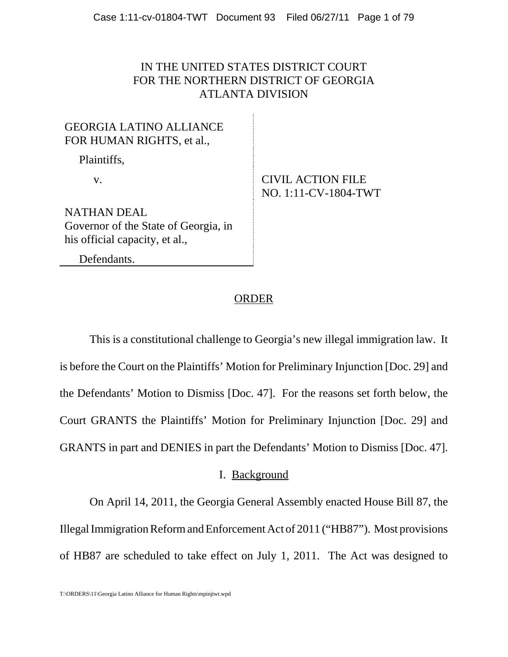# IN THE UNITED STATES DISTRICT COURT FOR THE NORTHERN DISTRICT OF GEORGIA ATLANTA DIVISION

# GEORGIA LATINO ALLIANCE FOR HUMAN RIGHTS, et al.,

Plaintiffs,

# v. CIVIL ACTION FILE NO. 1:11-CV-1804-TWT

NATHAN DEAL Governor of the State of Georgia, in his official capacity, et al.,

Defendants.

# **ORDER**

This is a constitutional challenge to Georgia's new illegal immigration law. It is before the Court on the Plaintiffs' Motion for Preliminary Injunction [Doc. 29] and the Defendants' Motion to Dismiss [Doc. 47]. For the reasons set forth below, the Court GRANTS the Plaintiffs' Motion for Preliminary Injunction [Doc. 29] and GRANTS in part and DENIES in part the Defendants' Motion to Dismiss [Doc. 47].

# I. Background

On April 14, 2011, the Georgia General Assembly enacted House Bill 87, the Illegal Immigration Reform and Enforcement Act of 2011 ("HB87"). Most provisions of HB87 are scheduled to take effect on July 1, 2011. The Act was designed to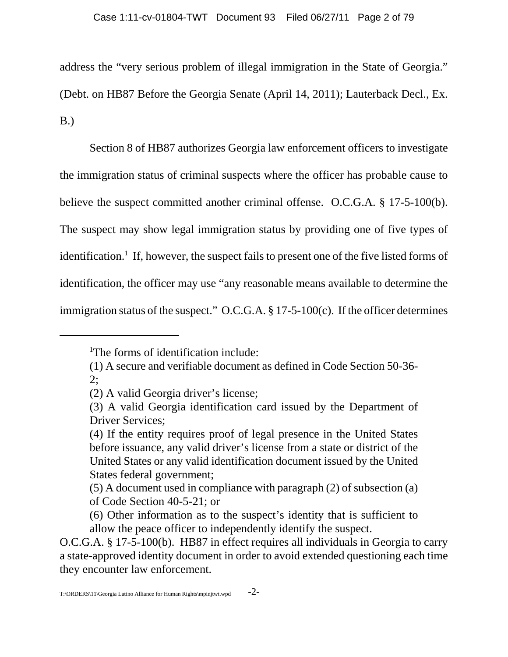address the "very serious problem of illegal immigration in the State of Georgia."

(Debt. on HB87 Before the Georgia Senate (April 14, 2011); Lauterback Decl., Ex. B.)

Section 8 of HB87 authorizes Georgia law enforcement officers to investigate the immigration status of criminal suspects where the officer has probable cause to believe the suspect committed another criminal offense. O.C.G.A. § 17-5-100(b). The suspect may show legal immigration status by providing one of five types of identification.<sup>1</sup> If, however, the suspect fails to present one of the five listed forms of identification, the officer may use "any reasonable means available to determine the immigration status of the suspect." O.C.G.A. § 17-5-100(c). If the officer determines

<sup>&</sup>lt;sup>1</sup>The forms of identification include:

<sup>(1)</sup> A secure and verifiable document as defined in Code Section 50-36-  $2:$ 

<sup>(2)</sup> A valid Georgia driver's license;

<sup>(3)</sup> A valid Georgia identification card issued by the Department of Driver Services;

<sup>(4)</sup> If the entity requires proof of legal presence in the United States before issuance, any valid driver's license from a state or district of the United States or any valid identification document issued by the United States federal government;

<sup>(5)</sup> A document used in compliance with paragraph (2) of subsection (a) of Code Section 40-5-21; or

<sup>(6)</sup> Other information as to the suspect's identity that is sufficient to allow the peace officer to independently identify the suspect.

O.C.G.A. § 17-5-100(b). HB87 in effect requires all individuals in Georgia to carry a state-approved identity document in order to avoid extended questioning each time they encounter law enforcement.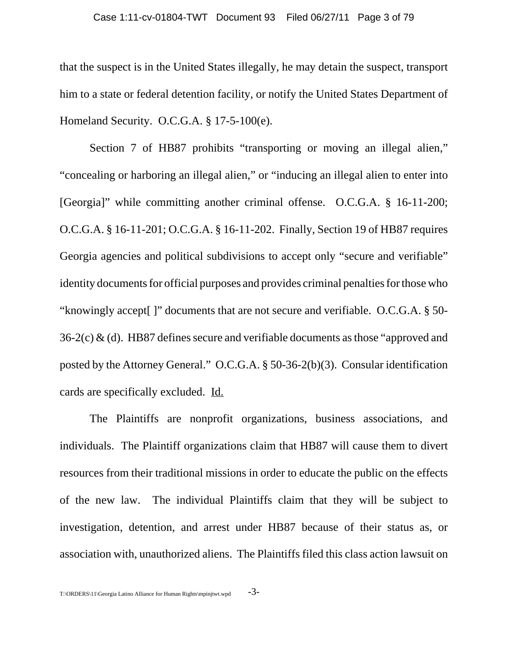that the suspect is in the United States illegally, he may detain the suspect, transport him to a state or federal detention facility, or notify the United States Department of Homeland Security. O.C.G.A. § 17-5-100(e).

Section 7 of HB87 prohibits "transporting or moving an illegal alien," "concealing or harboring an illegal alien," or "inducing an illegal alien to enter into [Georgia]" while committing another criminal offense. O.C.G.A. § 16-11-200; O.C.G.A. § 16-11-201; O.C.G.A. § 16-11-202. Finally, Section 19 of HB87 requires Georgia agencies and political subdivisions to accept only "secure and verifiable" identity documents for official purposes and provides criminal penalties for those who "knowingly accept[ ]" documents that are not secure and verifiable. O.C.G.A. § 50-  $36-2(c)$  & (d). HB87 defines secure and verifiable documents as those "approved and posted by the Attorney General." O.C.G.A. § 50-36-2(b)(3). Consular identification cards are specifically excluded. Id.

The Plaintiffs are nonprofit organizations, business associations, and individuals. The Plaintiff organizations claim that HB87 will cause them to divert resources from their traditional missions in order to educate the public on the effects of the new law. The individual Plaintiffs claim that they will be subject to investigation, detention, and arrest under HB87 because of their status as, or association with, unauthorized aliens. The Plaintiffs filed this class action lawsuit on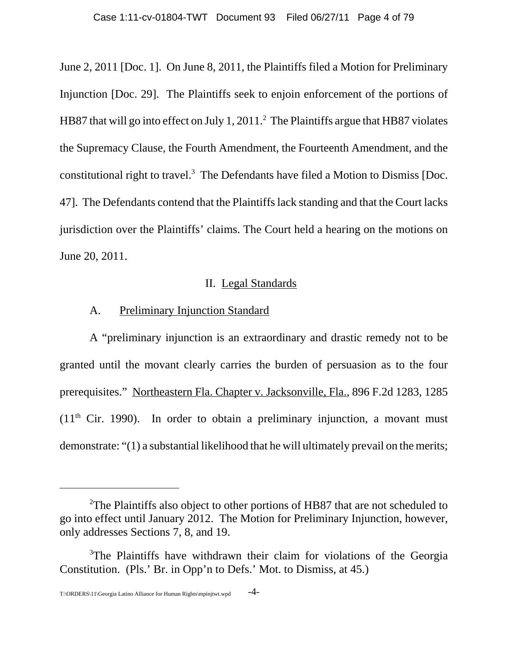June 2, 2011 [Doc. 1]. On June 8, 2011, the Plaintiffs filed a Motion for Preliminary Injunction [Doc. 29]. The Plaintiffs seek to enjoin enforcement of the portions of HB87 that will go into effect on July 1, 2011.<sup>2</sup> The Plaintiffs argue that HB87 violates the Supremacy Clause, the Fourth Amendment, the Fourteenth Amendment, and the constitutional right to travel. $3$  The Defendants have filed a Motion to Dismiss [Doc. 47]. The Defendants contend that the Plaintiffs lack standing and that the Court lacks jurisdiction over the Plaintiffs' claims. The Court held a hearing on the motions on June 20, 2011.

## II. Legal Standards

## A. Preliminary Injunction Standard

A "preliminary injunction is an extraordinary and drastic remedy not to be granted until the movant clearly carries the burden of persuasion as to the four prerequisites." Northeastern Fla. Chapter v. Jacksonville, Fla., 896 F.2d 1283, 1285  $(11<sup>th</sup> Cir. 1990)$ . In order to obtain a preliminary injunction, a movant must demonstrate: "(1) a substantial likelihood that he will ultimately prevail on the merits;

<sup>&</sup>lt;sup>2</sup>The Plaintiffs also object to other portions of HB87 that are not scheduled to go into effect until January 2012. The Motion for Preliminary Injunction, however, only addresses Sections 7, 8, and 19.

<sup>&</sup>lt;sup>3</sup>The Plaintiffs have withdrawn their claim for violations of the Georgia Constitution. (Pls.' Br. in Opp'n to Defs.' Mot. to Dismiss, at 45.)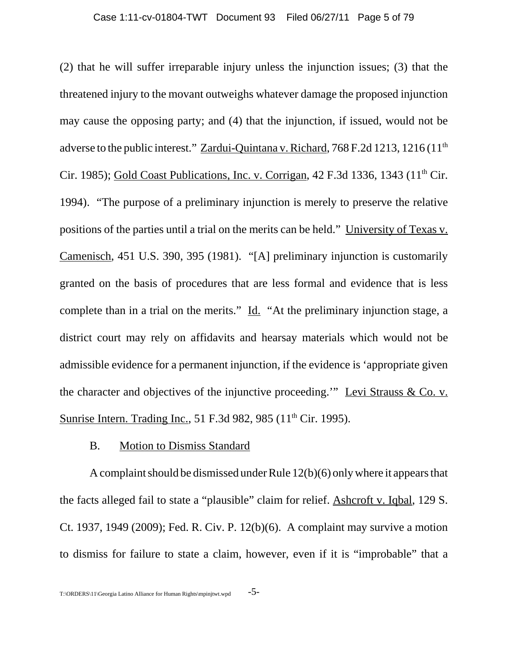(2) that he will suffer irreparable injury unless the injunction issues; (3) that the threatened injury to the movant outweighs whatever damage the proposed injunction may cause the opposing party; and (4) that the injunction, if issued, would not be adverse to the public interest." Zardui-Quintana v. Richard, 768 F.2d 1213, 1216 (11<sup>th</sup>) Cir. 1985); Gold Coast Publications, Inc. v. Corrigan, 42 F.3d 1336, 1343 (11<sup>th</sup> Cir. 1994). "The purpose of a preliminary injunction is merely to preserve the relative positions of the parties until a trial on the merits can be held." University of Texas v. Camenisch, 451 U.S. 390, 395 (1981). "[A] preliminary injunction is customarily granted on the basis of procedures that are less formal and evidence that is less complete than in a trial on the merits." Id. "At the preliminary injunction stage, a district court may rely on affidavits and hearsay materials which would not be admissible evidence for a permanent injunction, if the evidence is 'appropriate given the character and objectives of the injunctive proceeding.'" Levi Strauss & Co. v. Sunrise Intern. Trading Inc., 51 F.3d 982, 985 (11<sup>th</sup> Cir. 1995).

# B. Motion to Dismiss Standard

A complaint should be dismissed under Rule 12(b)(6) only where it appears that the facts alleged fail to state a "plausible" claim for relief. Ashcroft v. Iqbal, 129 S. Ct. 1937, 1949 (2009); Fed. R. Civ. P. 12(b)(6). A complaint may survive a motion to dismiss for failure to state a claim, however, even if it is "improbable" that a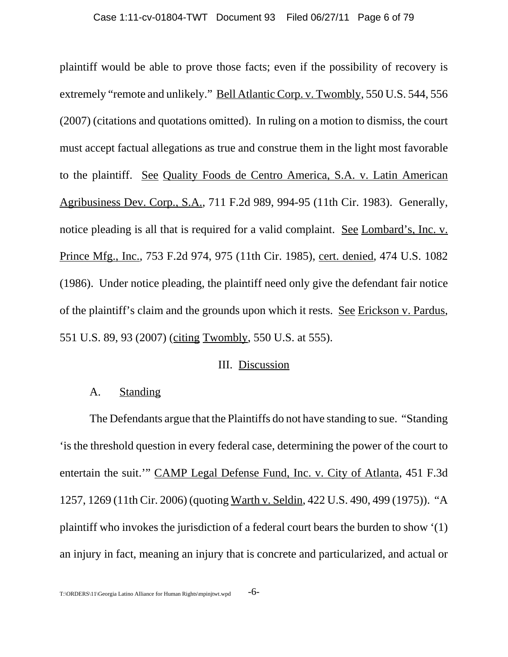plaintiff would be able to prove those facts; even if the possibility of recovery is extremely "remote and unlikely." Bell Atlantic Corp. v. Twombly, 550 U.S. 544, 556 (2007) (citations and quotations omitted). In ruling on a motion to dismiss, the court must accept factual allegations as true and construe them in the light most favorable to the plaintiff. See Quality Foods de Centro America, S.A. v. Latin American Agribusiness Dev. Corp., S.A., 711 F.2d 989, 994-95 (11th Cir. 1983). Generally, notice pleading is all that is required for a valid complaint. See Lombard's, Inc. v. Prince Mfg., Inc., 753 F.2d 974, 975 (11th Cir. 1985), cert. denied, 474 U.S. 1082 (1986). Under notice pleading, the plaintiff need only give the defendant fair notice of the plaintiff's claim and the grounds upon which it rests. See Erickson v. Pardus, 551 U.S. 89, 93 (2007) (citing Twombly, 550 U.S. at 555).

### III. Discussion

## A. Standing

The Defendants argue that the Plaintiffs do not have standing to sue. "Standing 'is the threshold question in every federal case, determining the power of the court to entertain the suit.'" CAMP Legal Defense Fund, Inc. v. City of Atlanta, 451 F.3d 1257, 1269 (11th Cir. 2006) (quoting Warth v. Seldin, 422 U.S. 490, 499 (1975)). "A plaintiff who invokes the jurisdiction of a federal court bears the burden to show '(1) an injury in fact, meaning an injury that is concrete and particularized, and actual or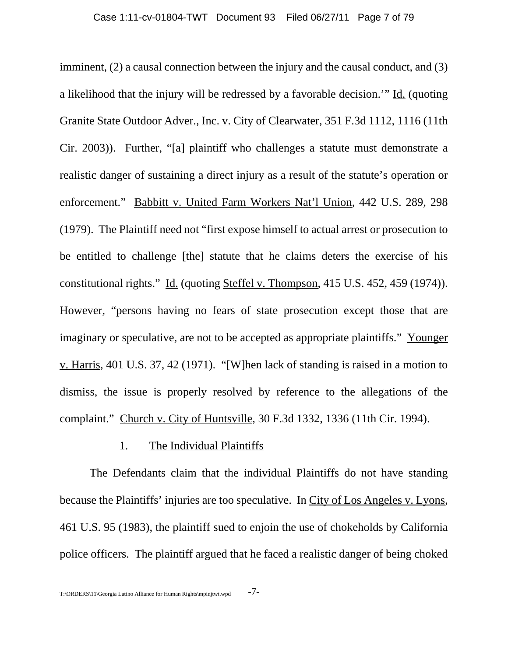imminent, (2) a causal connection between the injury and the causal conduct, and (3) a likelihood that the injury will be redressed by a favorable decision.'" Id. (quoting Granite State Outdoor Adver., Inc. v. City of Clearwater, 351 F.3d 1112, 1116 (11th Cir. 2003)). Further, "[a] plaintiff who challenges a statute must demonstrate a realistic danger of sustaining a direct injury as a result of the statute's operation or enforcement." Babbitt v. United Farm Workers Nat'l Union, 442 U.S. 289, 298 (1979). The Plaintiff need not "first expose himself to actual arrest or prosecution to be entitled to challenge [the] statute that he claims deters the exercise of his constitutional rights." Id. (quoting Steffel v. Thompson, 415 U.S. 452, 459 (1974)). However, "persons having no fears of state prosecution except those that are imaginary or speculative, are not to be accepted as appropriate plaintiffs." Younger v. Harris, 401 U.S. 37, 42 (1971). "[W]hen lack of standing is raised in a motion to dismiss, the issue is properly resolved by reference to the allegations of the complaint." Church v. City of Huntsville, 30 F.3d 1332, 1336 (11th Cir. 1994).

#### 1. The Individual Plaintiffs

The Defendants claim that the individual Plaintiffs do not have standing because the Plaintiffs' injuries are too speculative. In City of Los Angeles v. Lyons, 461 U.S. 95 (1983), the plaintiff sued to enjoin the use of chokeholds by California police officers. The plaintiff argued that he faced a realistic danger of being choked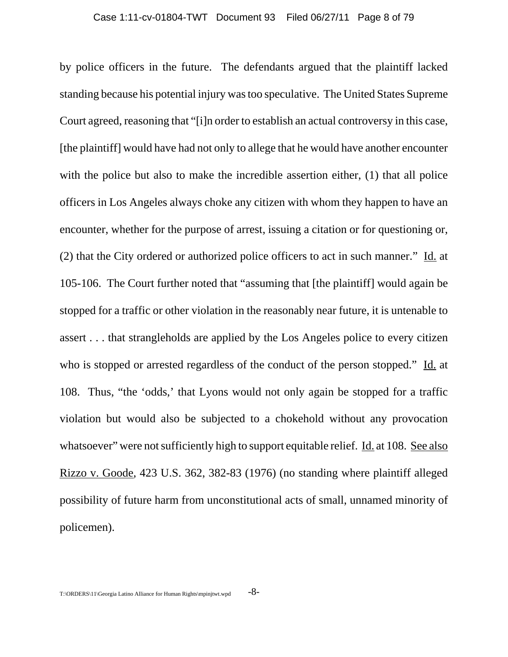by police officers in the future. The defendants argued that the plaintiff lacked standing because his potential injury was too speculative. The United States Supreme Court agreed, reasoning that "[i]n order to establish an actual controversy in this case, [the plaintiff] would have had not only to allege that he would have another encounter with the police but also to make the incredible assertion either, (1) that all police officers in Los Angeles always choke any citizen with whom they happen to have an encounter, whether for the purpose of arrest, issuing a citation or for questioning or, (2) that the City ordered or authorized police officers to act in such manner." Id. at 105-106. The Court further noted that "assuming that [the plaintiff] would again be stopped for a traffic or other violation in the reasonably near future, it is untenable to assert . . . that strangleholds are applied by the Los Angeles police to every citizen who is stopped or arrested regardless of the conduct of the person stopped." Id. at 108. Thus, "the 'odds,' that Lyons would not only again be stopped for a traffic violation but would also be subjected to a chokehold without any provocation whatsoever" were not sufficiently high to support equitable relief. Id. at 108. See also Rizzo v. Goode, 423 U.S. 362, 382-83 (1976) (no standing where plaintiff alleged possibility of future harm from unconstitutional acts of small, unnamed minority of policemen).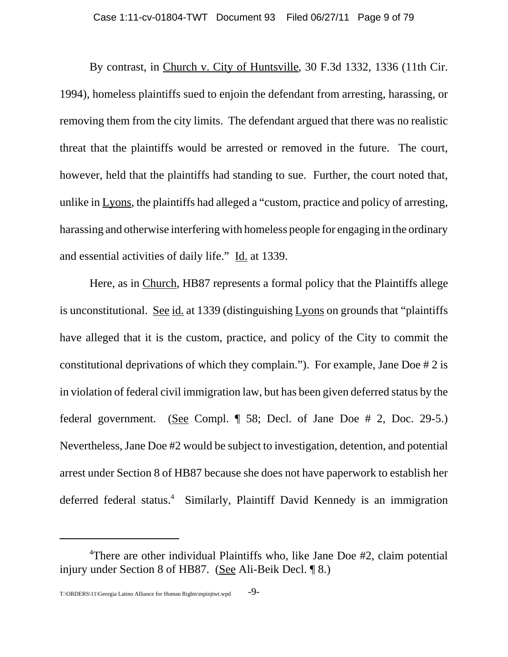By contrast, in Church v. City of Huntsville, 30 F.3d 1332, 1336 (11th Cir. 1994), homeless plaintiffs sued to enjoin the defendant from arresting, harassing, or removing them from the city limits. The defendant argued that there was no realistic threat that the plaintiffs would be arrested or removed in the future. The court, however, held that the plaintiffs had standing to sue. Further, the court noted that, unlike in Lyons, the plaintiffs had alleged a "custom, practice and policy of arresting, harassing and otherwise interfering with homeless people for engaging in the ordinary and essential activities of daily life." Id. at 1339.

Here, as in Church, HB87 represents a formal policy that the Plaintiffs allege is unconstitutional. See id. at 1339 (distinguishing Lyons on grounds that "plaintiffs") have alleged that it is the custom, practice, and policy of the City to commit the constitutional deprivations of which they complain."). For example, Jane Doe # 2 is in violation of federal civil immigration law, but has been given deferred status by the federal government. (See Compl. ¶ 58; Decl. of Jane Doe # 2, Doc. 29-5.) Nevertheless, Jane Doe #2 would be subject to investigation, detention, and potential arrest under Section 8 of HB87 because she does not have paperwork to establish her deferred federal status.<sup>4</sup> Similarly, Plaintiff David Kennedy is an immigration

<sup>&</sup>lt;sup>4</sup>There are other individual Plaintiffs who, like Jane Doe #2, claim potential injury under Section 8 of HB87. (See Ali-Beik Decl. ¶ 8.)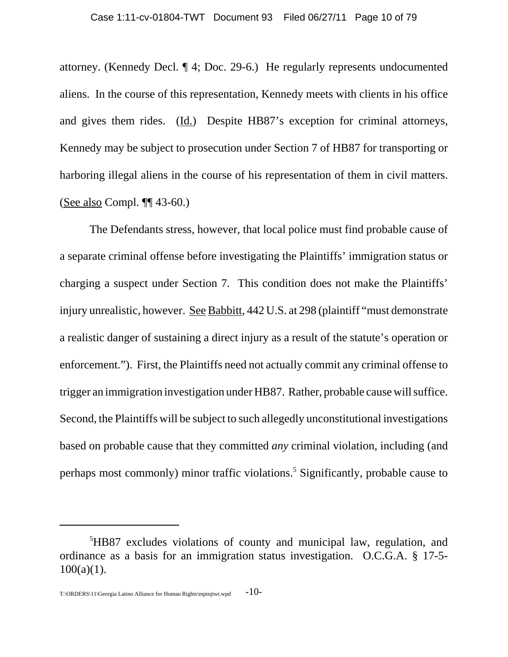attorney. (Kennedy Decl. ¶ 4; Doc. 29-6.) He regularly represents undocumented aliens. In the course of this representation, Kennedy meets with clients in his office and gives them rides. (Id.) Despite HB87's exception for criminal attorneys, Kennedy may be subject to prosecution under Section 7 of HB87 for transporting or harboring illegal aliens in the course of his representation of them in civil matters. (See also Compl. ¶¶ 43-60.)

The Defendants stress, however, that local police must find probable cause of a separate criminal offense before investigating the Plaintiffs' immigration status or charging a suspect under Section 7. This condition does not make the Plaintiffs' injury unrealistic, however. See Babbitt, 442 U.S. at 298 (plaintiff "must demonstrate a realistic danger of sustaining a direct injury as a result of the statute's operation or enforcement."). First, the Plaintiffs need not actually commit any criminal offense to trigger an immigration investigation under HB87. Rather, probable cause will suffice. Second, the Plaintiffs will be subject to such allegedly unconstitutional investigations based on probable cause that they committed *any* criminal violation, including (and perhaps most commonly) minor traffic violations.<sup>5</sup> Significantly, probable cause to

<sup>5</sup> HB87 excludes violations of county and municipal law, regulation, and ordinance as a basis for an immigration status investigation. O.C.G.A. § 17-5-  $100(a)(1)$ .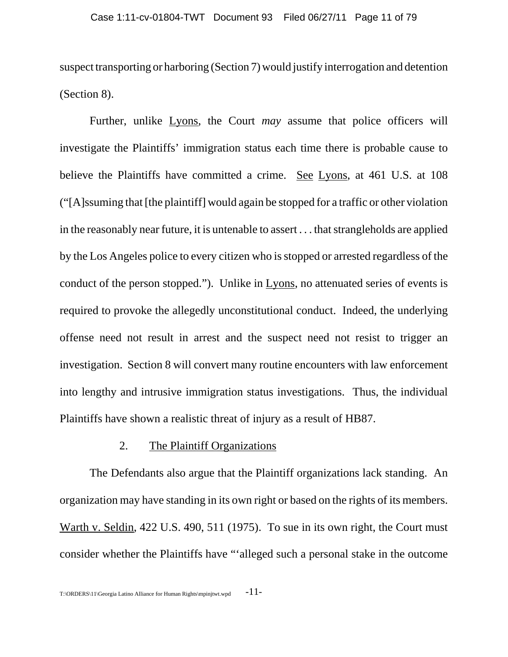suspect transporting or harboring (Section 7) would justify interrogation and detention (Section 8).

Further, unlike Lyons, the Court *may* assume that police officers will investigate the Plaintiffs' immigration status each time there is probable cause to believe the Plaintiffs have committed a crime. See Lyons, at 461 U.S. at 108 ("[A]ssuming that [the plaintiff] would again be stopped for a traffic or other violation in the reasonably near future, it is untenable to assert . . . that strangleholds are applied by the Los Angeles police to every citizen who is stopped or arrested regardless of the conduct of the person stopped."). Unlike in Lyons, no attenuated series of events is required to provoke the allegedly unconstitutional conduct. Indeed, the underlying offense need not result in arrest and the suspect need not resist to trigger an investigation. Section 8 will convert many routine encounters with law enforcement into lengthy and intrusive immigration status investigations. Thus, the individual Plaintiffs have shown a realistic threat of injury as a result of HB87.

#### 2. The Plaintiff Organizations

The Defendants also argue that the Plaintiff organizations lack standing. An organization may have standing in its own right or based on the rights of its members. Warth v. Seldin, 422 U.S. 490, 511 (1975). To sue in its own right, the Court must consider whether the Plaintiffs have "'alleged such a personal stake in the outcome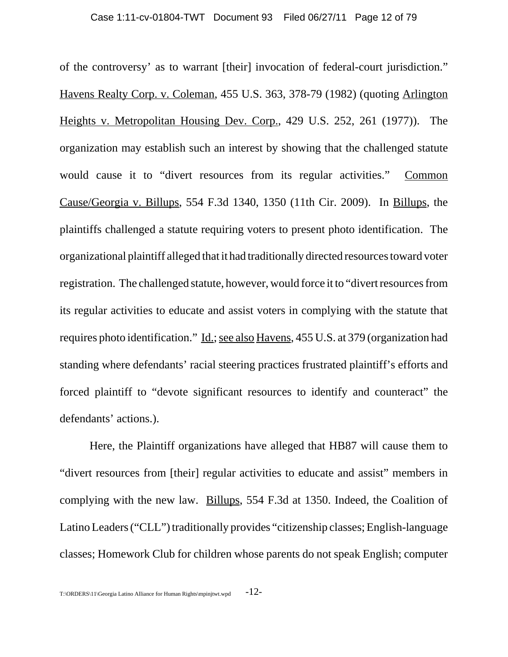of the controversy' as to warrant [their] invocation of federal-court jurisdiction." Havens Realty Corp. v. Coleman, 455 U.S. 363, 378-79 (1982) (quoting Arlington Heights v. Metropolitan Housing Dev. Corp., 429 U.S. 252, 261 (1977)). The organization may establish such an interest by showing that the challenged statute would cause it to "divert resources from its regular activities." Common Cause/Georgia v. Billups, 554 F.3d 1340, 1350 (11th Cir. 2009). In Billups, the plaintiffs challenged a statute requiring voters to present photo identification. The organizational plaintiff alleged that it had traditionally directed resources toward voter registration. The challenged statute, however, would force it to "divert resources from its regular activities to educate and assist voters in complying with the statute that requires photo identification." Id.; see also Havens, 455 U.S. at 379 (organization had standing where defendants' racial steering practices frustrated plaintiff's efforts and forced plaintiff to "devote significant resources to identify and counteract" the defendants' actions.).

Here, the Plaintiff organizations have alleged that HB87 will cause them to "divert resources from [their] regular activities to educate and assist" members in complying with the new law. Billups, 554 F.3d at 1350. Indeed, the Coalition of Latino Leaders ("CLL") traditionally provides "citizenship classes; English-language classes; Homework Club for children whose parents do not speak English; computer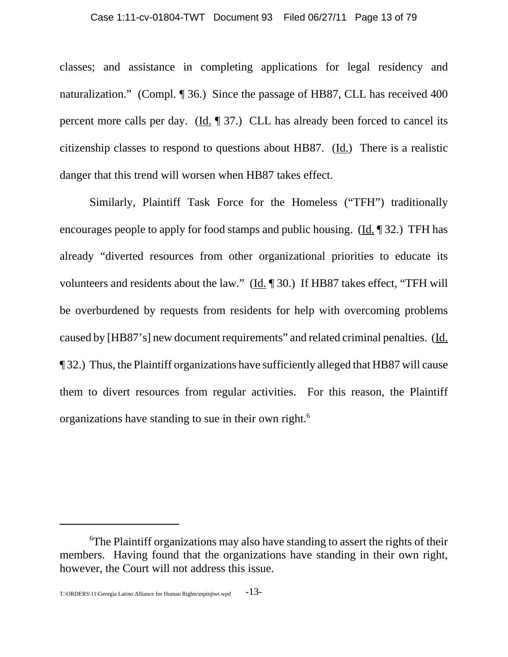classes; and assistance in completing applications for legal residency and naturalization." (Compl. ¶ 36.) Since the passage of HB87, CLL has received 400 percent more calls per day. ( $\underline{Id}$ ,  $\P$  37.) CLL has already been forced to cancel its citizenship classes to respond to questions about HB87. (Id.) There is a realistic danger that this trend will worsen when HB87 takes effect.

Similarly, Plaintiff Task Force for the Homeless ("TFH") traditionally encourages people to apply for food stamps and public housing. (Id. ¶ 32.) TFH has already "diverted resources from other organizational priorities to educate its volunteers and residents about the law." (Id. ¶ 30.) If HB87 takes effect, "TFH will be overburdened by requests from residents for help with overcoming problems caused by [HB87's] new document requirements" and related criminal penalties. (Id. ¶ 32.) Thus, the Plaintiff organizations have sufficiently alleged that HB87 will cause them to divert resources from regular activities. For this reason, the Plaintiff organizations have standing to sue in their own right.6

<sup>&</sup>lt;sup>6</sup>The Plaintiff organizations may also have standing to assert the rights of their members. Having found that the organizations have standing in their own right, however, the Court will not address this issue.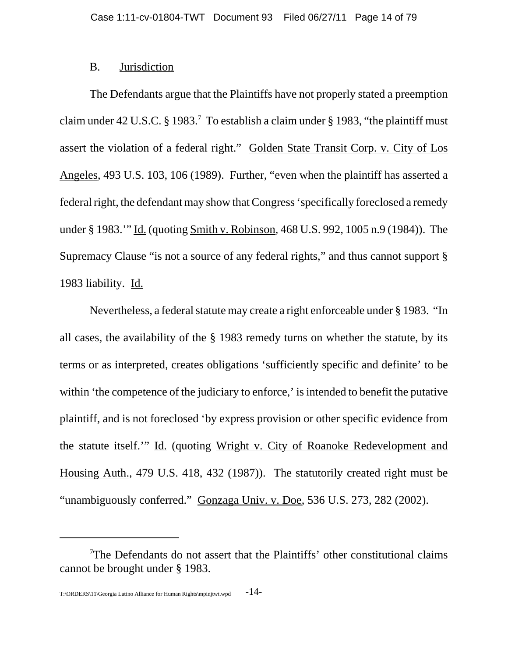## B. Jurisdiction

The Defendants argue that the Plaintiffs have not properly stated a preemption claim under 42 U.S.C. § 1983.<sup>7</sup> To establish a claim under § 1983, "the plaintiff must assert the violation of a federal right." Golden State Transit Corp. v. City of Los Angeles, 493 U.S. 103, 106 (1989). Further, "even when the plaintiff has asserted a federal right, the defendant may show that Congress 'specifically foreclosed a remedy under § 1983.'" Id. (quoting Smith v. Robinson, 468 U.S. 992, 1005 n.9 (1984)). The Supremacy Clause "is not a source of any federal rights," and thus cannot support § 1983 liability. Id.

Nevertheless, a federal statute may create a right enforceable under § 1983. "In all cases, the availability of the § 1983 remedy turns on whether the statute, by its terms or as interpreted, creates obligations 'sufficiently specific and definite' to be within 'the competence of the judiciary to enforce,' is intended to benefit the putative plaintiff, and is not foreclosed 'by express provision or other specific evidence from the statute itself.'" Id. (quoting Wright v. City of Roanoke Redevelopment and Housing Auth., 479 U.S. 418, 432 (1987)). The statutorily created right must be "unambiguously conferred." Gonzaga Univ. v. Doe, 536 U.S. 273, 282 (2002).

<sup>&</sup>lt;sup>7</sup>The Defendants do not assert that the Plaintiffs' other constitutional claims cannot be brought under § 1983.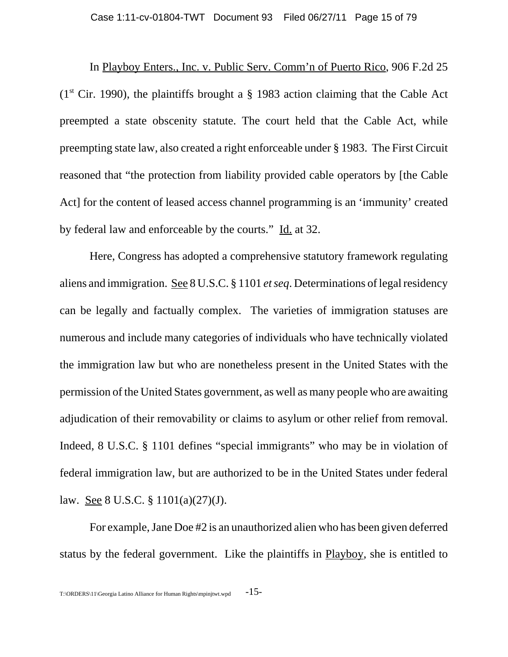In Playboy Enters., Inc. v. Public Serv. Comm'n of Puerto Rico, 906 F.2d 25  $(1<sup>st</sup> Cir. 1990)$ , the plaintiffs brought a § 1983 action claiming that the Cable Act preempted a state obscenity statute. The court held that the Cable Act, while preempting state law, also created a right enforceable under § 1983. The First Circuit reasoned that "the protection from liability provided cable operators by [the Cable Act] for the content of leased access channel programming is an 'immunity' created by federal law and enforceable by the courts." Id. at 32.

Here, Congress has adopted a comprehensive statutory framework regulating aliens and immigration. See 8 U.S.C. § 1101 *et seq*. Determinations of legal residency can be legally and factually complex. The varieties of immigration statuses are numerous and include many categories of individuals who have technically violated the immigration law but who are nonetheless present in the United States with the permission of the United States government, as well as many people who are awaiting adjudication of their removability or claims to asylum or other relief from removal. Indeed, 8 U.S.C. § 1101 defines "special immigrants" who may be in violation of federal immigration law, but are authorized to be in the United States under federal law. See 8 U.S.C. § 1101(a)(27)(J).

For example, Jane Doe #2 is an unauthorized alien who has been given deferred status by the federal government. Like the plaintiffs in Playboy, she is entitled to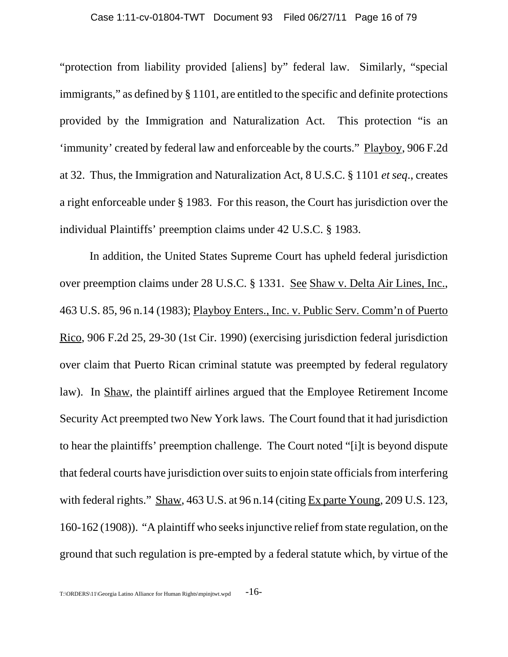"protection from liability provided [aliens] by" federal law. Similarly, "special immigrants," as defined by § 1101, are entitled to the specific and definite protections provided by the Immigration and Naturalization Act. This protection "is an 'immunity' created by federal law and enforceable by the courts." Playboy, 906 F.2d at 32. Thus, the Immigration and Naturalization Act, 8 U.S.C. § 1101 *et seq*., creates a right enforceable under § 1983. For this reason, the Court has jurisdiction over the individual Plaintiffs' preemption claims under 42 U.S.C. § 1983.

In addition, the United States Supreme Court has upheld federal jurisdiction over preemption claims under 28 U.S.C. § 1331. See Shaw v. Delta Air Lines, Inc., 463 U.S. 85, 96 n.14 (1983); Playboy Enters., Inc. v. Public Serv. Comm'n of Puerto Rico, 906 F.2d 25, 29-30 (1st Cir. 1990) (exercising jurisdiction federal jurisdiction over claim that Puerto Rican criminal statute was preempted by federal regulatory law). In Shaw, the plaintiff airlines argued that the Employee Retirement Income Security Act preempted two New York laws. The Court found that it had jurisdiction to hear the plaintiffs' preemption challenge. The Court noted "[i]t is beyond dispute that federal courts have jurisdiction over suits to enjoin state officials from interfering with federal rights." Shaw, 463 U.S. at 96 n.14 (citing Ex parte Young, 209 U.S. 123, 160-162 (1908)). "A plaintiff who seeks injunctive relief from state regulation, on the ground that such regulation is pre-empted by a federal statute which, by virtue of the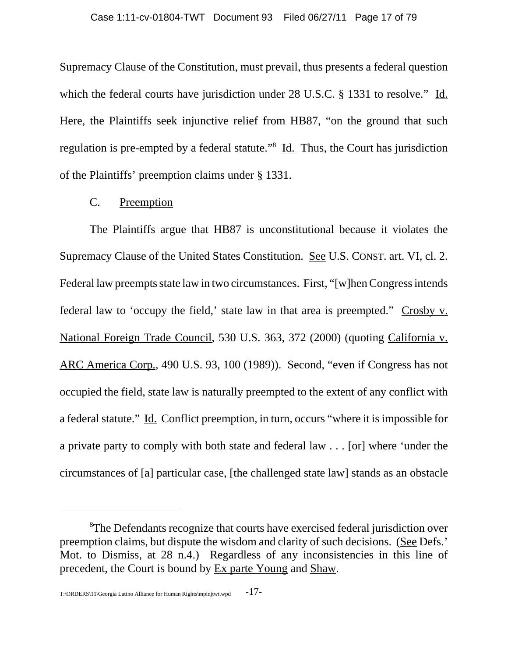Supremacy Clause of the Constitution, must prevail, thus presents a federal question which the federal courts have jurisdiction under 28 U.S.C. § 1331 to resolve." Id. Here, the Plaintiffs seek injunctive relief from HB87, "on the ground that such regulation is pre-empted by a federal statute."<sup>8</sup> Id. Thus, the Court has jurisdiction of the Plaintiffs' preemption claims under § 1331.

## C. Preemption

The Plaintiffs argue that HB87 is unconstitutional because it violates the Supremacy Clause of the United States Constitution. See U.S. CONST. art. VI, cl. 2. Federal law preempts state law in two circumstances. First, "[w]hen Congress intends federal law to 'occupy the field,' state law in that area is preempted." Crosby v. National Foreign Trade Council, 530 U.S. 363, 372 (2000) (quoting California v. ARC America Corp., 490 U.S. 93, 100 (1989)). Second, "even if Congress has not occupied the field, state law is naturally preempted to the extent of any conflict with a federal statute." Id. Conflict preemption, in turn, occurs "where it is impossible for a private party to comply with both state and federal law . . . [or] where 'under the circumstances of [a] particular case, [the challenged state law] stands as an obstacle

<sup>&</sup>lt;sup>8</sup>The Defendants recognize that courts have exercised federal jurisdiction over preemption claims, but dispute the wisdom and clarity of such decisions. (See Defs.' Mot. to Dismiss, at 28 n.4.) Regardless of any inconsistencies in this line of precedent, the Court is bound by Ex parte Young and Shaw.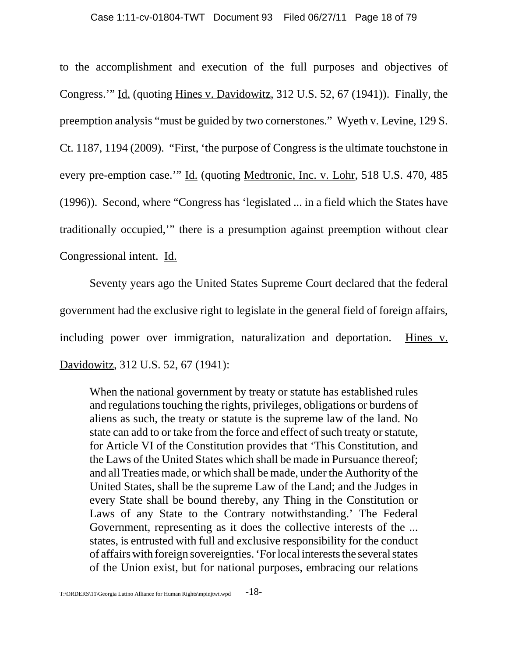to the accomplishment and execution of the full purposes and objectives of Congress.'" Id. (quoting Hines v. Davidowitz, 312 U.S. 52, 67 (1941)). Finally, the preemption analysis "must be guided by two cornerstones." Wyeth v. Levine, 129 S. Ct. 1187, 1194 (2009). "First, 'the purpose of Congress is the ultimate touchstone in every pre-emption case.'" Id. (quoting Medtronic, Inc. v. Lohr, 518 U.S. 470, 485 (1996)). Second, where "Congress has 'legislated ... in a field which the States have traditionally occupied,'" there is a presumption against preemption without clear Congressional intent. Id.

Seventy years ago the United States Supreme Court declared that the federal government had the exclusive right to legislate in the general field of foreign affairs, including power over immigration, naturalization and deportation. Hines v. Davidowitz, 312 U.S. 52, 67 (1941):

When the national government by treaty or statute has established rules and regulations touching the rights, privileges, obligations or burdens of aliens as such, the treaty or statute is the supreme law of the land. No state can add to or take from the force and effect of such treaty or statute, for Article VI of the Constitution provides that 'This Constitution, and the Laws of the United States which shall be made in Pursuance thereof; and all Treaties made, or which shall be made, under the Authority of the United States, shall be the supreme Law of the Land; and the Judges in every State shall be bound thereby, any Thing in the Constitution or Laws of any State to the Contrary notwithstanding.' The Federal Government, representing as it does the collective interests of the ... states, is entrusted with full and exclusive responsibility for the conduct of affairs with foreign sovereignties. 'For local interests the several states of the Union exist, but for national purposes, embracing our relations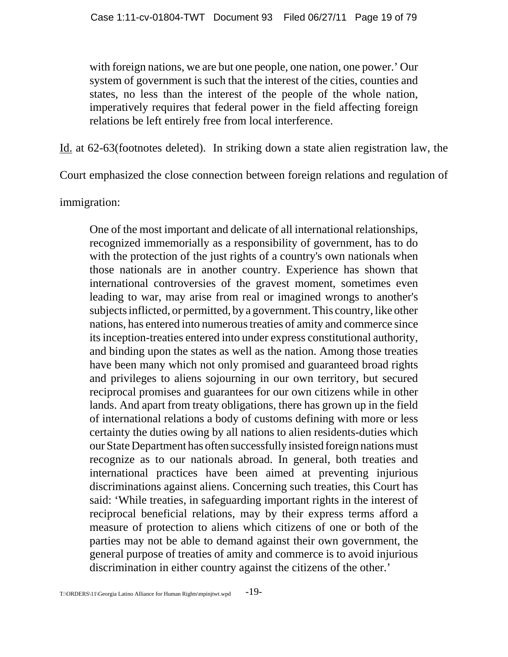with foreign nations, we are but one people, one nation, one power.' Our system of government is such that the interest of the cities, counties and states, no less than the interest of the people of the whole nation, imperatively requires that federal power in the field affecting foreign relations be left entirely free from local interference.

Id. at 62-63(footnotes deleted). In striking down a state alien registration law, the

Court emphasized the close connection between foreign relations and regulation of

immigration:

One of the most important and delicate of all international relationships, recognized immemorially as a responsibility of government, has to do with the protection of the just rights of a country's own nationals when those nationals are in another country. Experience has shown that international controversies of the gravest moment, sometimes even leading to war, may arise from real or imagined wrongs to another's subjects inflicted, or permitted, by a government. This country, like other nations, has entered into numerous treaties of amity and commerce since its inception-treaties entered into under express constitutional authority, and binding upon the states as well as the nation. Among those treaties have been many which not only promised and guaranteed broad rights and privileges to aliens sojourning in our own territory, but secured reciprocal promises and guarantees for our own citizens while in other lands. And apart from treaty obligations, there has grown up in the field of international relations a body of customs defining with more or less certainty the duties owing by all nations to alien residents-duties which our State Department has often successfully insisted foreign nations must recognize as to our nationals abroad. In general, both treaties and international practices have been aimed at preventing injurious discriminations against aliens. Concerning such treaties, this Court has said: 'While treaties, in safeguarding important rights in the interest of reciprocal beneficial relations, may by their express terms afford a measure of protection to aliens which citizens of one or both of the parties may not be able to demand against their own government, the general purpose of treaties of amity and commerce is to avoid injurious discrimination in either country against the citizens of the other.'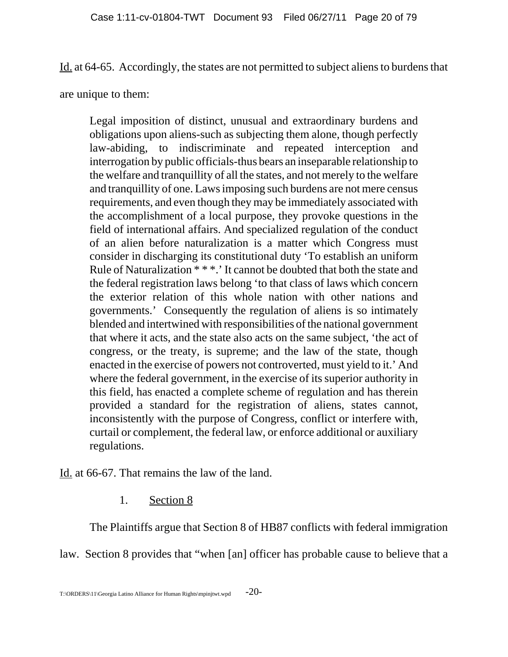Id. at 64-65. Accordingly, the states are not permitted to subject aliens to burdens that

are unique to them:

Legal imposition of distinct, unusual and extraordinary burdens and obligations upon aliens-such as subjecting them alone, though perfectly law-abiding, to indiscriminate and repeated interception and interrogation by public officials-thus bears an inseparable relationship to the welfare and tranquillity of all the states, and not merely to the welfare and tranquillity of one. Laws imposing such burdens are not mere census requirements, and even though they may be immediately associated with the accomplishment of a local purpose, they provoke questions in the field of international affairs. And specialized regulation of the conduct of an alien before naturalization is a matter which Congress must consider in discharging its constitutional duty 'To establish an uniform Rule of Naturalization \* \* \*.' It cannot be doubted that both the state and the federal registration laws belong 'to that class of laws which concern the exterior relation of this whole nation with other nations and governments.' Consequently the regulation of aliens is so intimately blended and intertwined with responsibilities of the national government that where it acts, and the state also acts on the same subject, 'the act of congress, or the treaty, is supreme; and the law of the state, though enacted in the exercise of powers not controverted, must yield to it.' And where the federal government, in the exercise of its superior authority in this field, has enacted a complete scheme of regulation and has therein provided a standard for the registration of aliens, states cannot, inconsistently with the purpose of Congress, conflict or interfere with, curtail or complement, the federal law, or enforce additional or auxiliary regulations.

Id. at 66-67. That remains the law of the land.

1. Section 8

The Plaintiffs argue that Section 8 of HB87 conflicts with federal immigration

law. Section 8 provides that "when [an] officer has probable cause to believe that a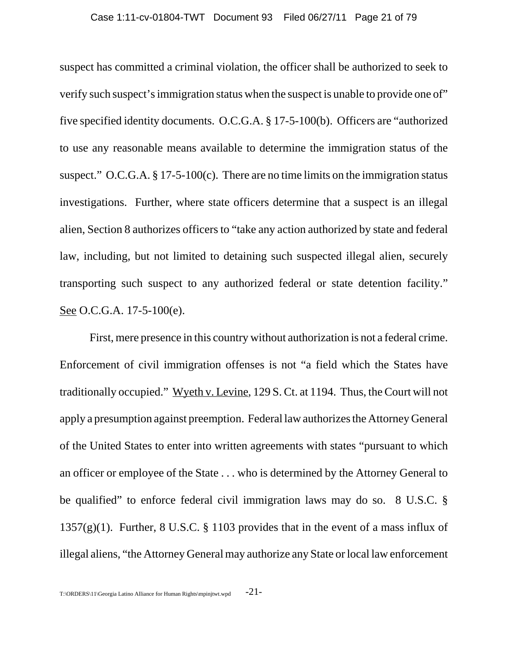suspect has committed a criminal violation, the officer shall be authorized to seek to verify such suspect's immigration status when the suspect is unable to provide one of" five specified identity documents. O.C.G.A. § 17-5-100(b). Officers are "authorized to use any reasonable means available to determine the immigration status of the suspect." O.C.G.A.  $\S 17-5-100(c)$ . There are no time limits on the immigration status investigations. Further, where state officers determine that a suspect is an illegal alien, Section 8 authorizes officers to "take any action authorized by state and federal law, including, but not limited to detaining such suspected illegal alien, securely transporting such suspect to any authorized federal or state detention facility." See O.C.G.A. 17-5-100(e).

First, mere presence in this country without authorization is not a federal crime. Enforcement of civil immigration offenses is not "a field which the States have traditionally occupied." Wyeth v. Levine, 129 S. Ct. at 1194. Thus, the Court will not apply a presumption against preemption. Federal law authorizes the Attorney General of the United States to enter into written agreements with states "pursuant to which an officer or employee of the State . . . who is determined by the Attorney General to be qualified" to enforce federal civil immigration laws may do so. 8 U.S.C. § 1357 $(g)(1)$ . Further, 8 U.S.C. § 1103 provides that in the event of a mass influx of illegal aliens, "the Attorney General may authorize any State or local law enforcement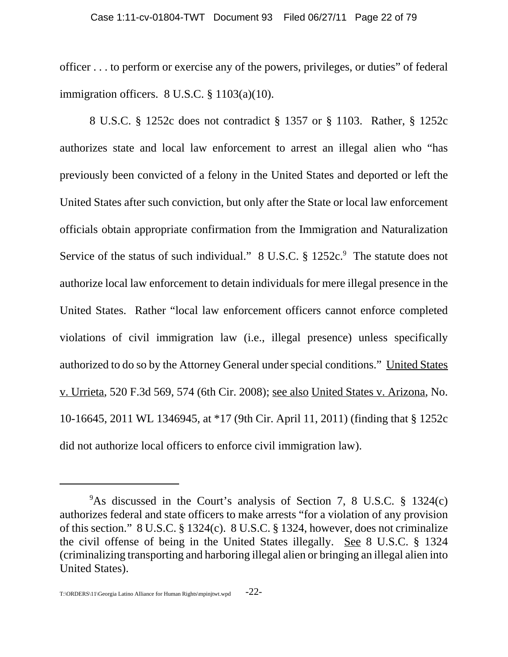officer . . . to perform or exercise any of the powers, privileges, or duties" of federal immigration officers. 8 U.S.C. § 1103(a)(10).

8 U.S.C. § 1252c does not contradict § 1357 or § 1103. Rather, § 1252c authorizes state and local law enforcement to arrest an illegal alien who "has previously been convicted of a felony in the United States and deported or left the United States after such conviction, but only after the State or local law enforcement officials obtain appropriate confirmation from the Immigration and Naturalization Service of the status of such individual."  $8 \text{ U.S.C. }$  \$1252c. The statute does not authorize local law enforcement to detain individuals for mere illegal presence in the United States. Rather "local law enforcement officers cannot enforce completed violations of civil immigration law (i.e., illegal presence) unless specifically authorized to do so by the Attorney General under special conditions." United States v. Urrieta, 520 F.3d 569, 574 (6th Cir. 2008); see also United States v. Arizona, No. 10-16645, 2011 WL 1346945, at \*17 (9th Cir. April 11, 2011) (finding that § 1252c did not authorize local officers to enforce civil immigration law).

<sup>&</sup>lt;sup>9</sup>As discussed in the Court's analysis of Section 7, 8 U.S.C. § 1324(c) authorizes federal and state officers to make arrests "for a violation of any provision of this section." 8 U.S.C. § 1324(c). 8 U.S.C. § 1324, however, does not criminalize the civil offense of being in the United States illegally. See 8 U.S.C. § 1324 (criminalizing transporting and harboring illegal alien or bringing an illegal alien into United States).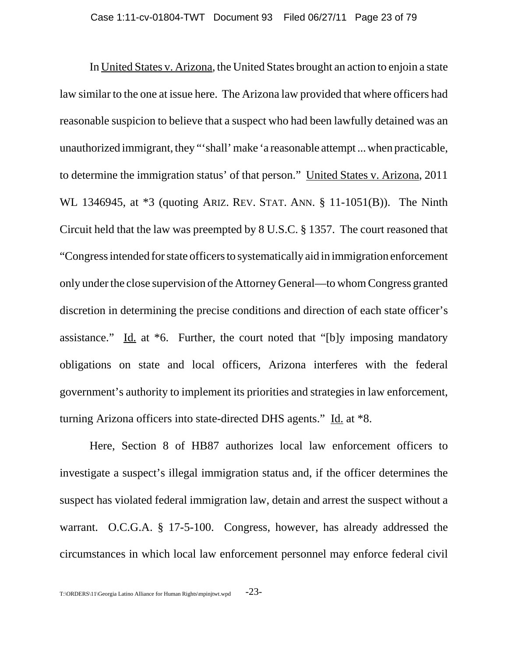In United States v. Arizona, the United States brought an action to enjoin a state law similar to the one at issue here. The Arizona law provided that where officers had reasonable suspicion to believe that a suspect who had been lawfully detained was an unauthorized immigrant, they "'shall' make 'a reasonable attempt ... when practicable, to determine the immigration status' of that person." United States v. Arizona, 2011 WL 1346945, at \*3 (quoting ARIZ. REV. STAT. ANN. § 11-1051(B)). The Ninth Circuit held that the law was preempted by 8 U.S.C. § 1357. The court reasoned that "Congress intended for state officers to systematically aid in immigration enforcement only under the close supervision of the Attorney General—to whom Congress granted discretion in determining the precise conditions and direction of each state officer's assistance." Id. at \*6. Further, the court noted that "[b]y imposing mandatory obligations on state and local officers, Arizona interferes with the federal government's authority to implement its priorities and strategies in law enforcement, turning Arizona officers into state-directed DHS agents." Id. at \*8.

Here, Section 8 of HB87 authorizes local law enforcement officers to investigate a suspect's illegal immigration status and, if the officer determines the suspect has violated federal immigration law, detain and arrest the suspect without a warrant. O.C.G.A. § 17-5-100. Congress, however, has already addressed the circumstances in which local law enforcement personnel may enforce federal civil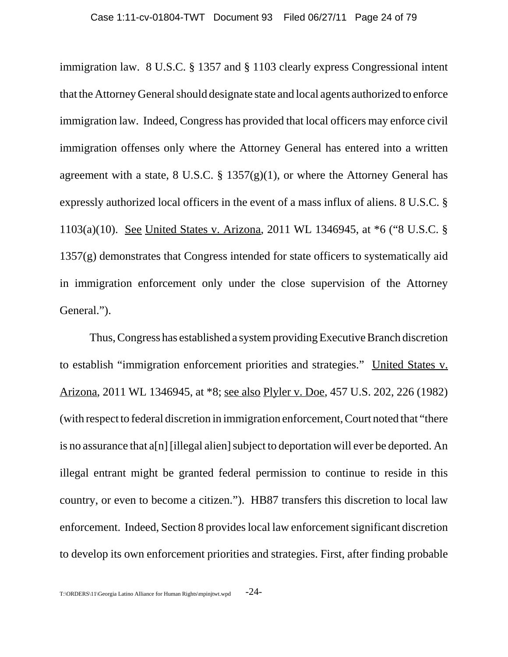immigration law. 8 U.S.C. § 1357 and § 1103 clearly express Congressional intent that the Attorney General should designate state and local agents authorized to enforce immigration law. Indeed, Congress has provided that local officers may enforce civil immigration offenses only where the Attorney General has entered into a written agreement with a state, 8 U.S.C. §  $1357(g)(1)$ , or where the Attorney General has expressly authorized local officers in the event of a mass influx of aliens. 8 U.S.C. § 1103(a)(10). See United States v. Arizona, 2011 WL 1346945, at \*6 ("8 U.S.C. §  $1357(g)$  demonstrates that Congress intended for state officers to systematically aid in immigration enforcement only under the close supervision of the Attorney General.").

Thus, Congress has established a system providing Executive Branch discretion to establish "immigration enforcement priorities and strategies." United States v. Arizona, 2011 WL 1346945, at \*8; see also Plyler v. Doe, 457 U.S. 202, 226 (1982) (with respect to federal discretion in immigration enforcement, Court noted that "there is no assurance that a[n] [illegal alien] subject to deportation will ever be deported. An illegal entrant might be granted federal permission to continue to reside in this country, or even to become a citizen."). HB87 transfers this discretion to local law enforcement. Indeed, Section 8 provides local law enforcement significant discretion to develop its own enforcement priorities and strategies. First, after finding probable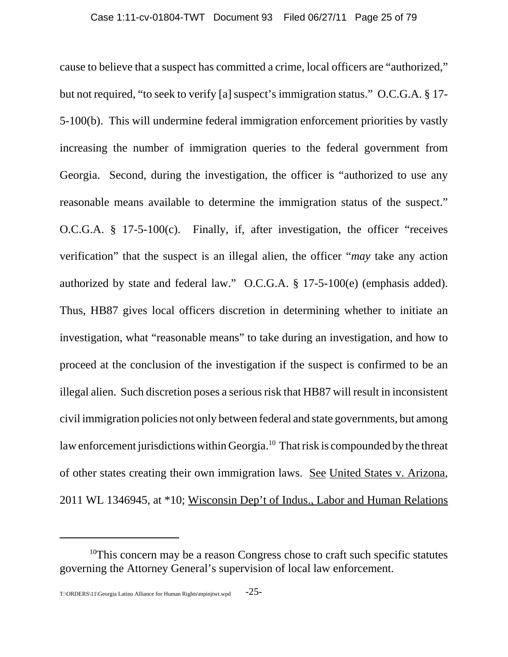cause to believe that a suspect has committed a crime, local officers are "authorized," but not required, "to seek to verify [a] suspect's immigration status." O.C.G.A. § 17- 5-100(b). This will undermine federal immigration enforcement priorities by vastly increasing the number of immigration queries to the federal government from Georgia. Second, during the investigation, the officer is "authorized to use any reasonable means available to determine the immigration status of the suspect." O.C.G.A. § 17-5-100(c). Finally, if, after investigation, the officer "receives verification" that the suspect is an illegal alien, the officer "*may* take any action authorized by state and federal law." O.C.G.A. § 17-5-100(e) (emphasis added). Thus, HB87 gives local officers discretion in determining whether to initiate an investigation, what "reasonable means" to take during an investigation, and how to proceed at the conclusion of the investigation if the suspect is confirmed to be an illegal alien. Such discretion poses a serious risk that HB87 will result in inconsistent civil immigration policies not only between federal and state governments, but among law enforcement jurisdictions within Georgia.<sup>10</sup> That risk is compounded by the threat of other states creating their own immigration laws. See United States v. Arizona, 2011 WL 1346945, at \*10; Wisconsin Dep't of Indus., Labor and Human Relations

<sup>&</sup>lt;sup>10</sup>This concern may be a reason Congress chose to craft such specific statutes governing the Attorney General's supervision of local law enforcement.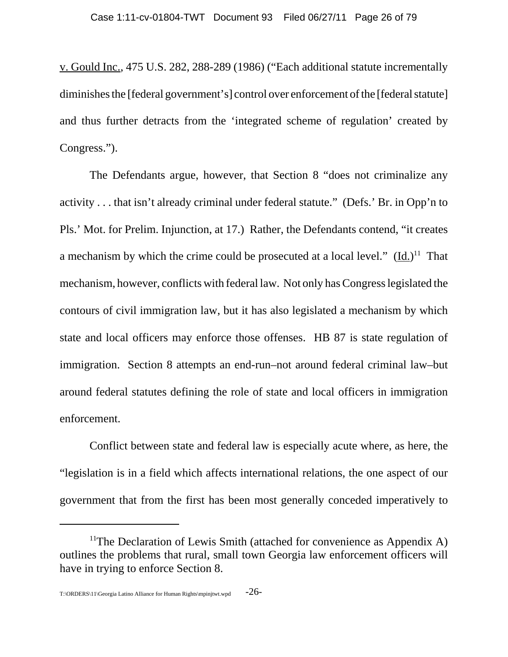v. Gould Inc., 475 U.S. 282, 288-289 (1986) ("Each additional statute incrementally diminishes the [federal government's] control over enforcement of the [federal statute] and thus further detracts from the 'integrated scheme of regulation' created by Congress.").

The Defendants argue, however, that Section 8 "does not criminalize any activity . . . that isn't already criminal under federal statute." (Defs.' Br. in Opp'n to Pls.' Mot. for Prelim. Injunction, at 17.) Rather, the Defendants contend, "it creates a mechanism by which the crime could be prosecuted at a local level."  $(\underline{Id.})^{11}$  That mechanism, however, conflicts with federal law. Not only has Congress legislated the contours of civil immigration law, but it has also legislated a mechanism by which state and local officers may enforce those offenses. HB 87 is state regulation of immigration. Section 8 attempts an end-run–not around federal criminal law–but around federal statutes defining the role of state and local officers in immigration enforcement.

Conflict between state and federal law is especially acute where, as here, the "legislation is in a field which affects international relations, the one aspect of our government that from the first has been most generally conceded imperatively to

<sup>&</sup>lt;sup>11</sup>The Declaration of Lewis Smith (attached for convenience as Appendix A) outlines the problems that rural, small town Georgia law enforcement officers will have in trying to enforce Section 8.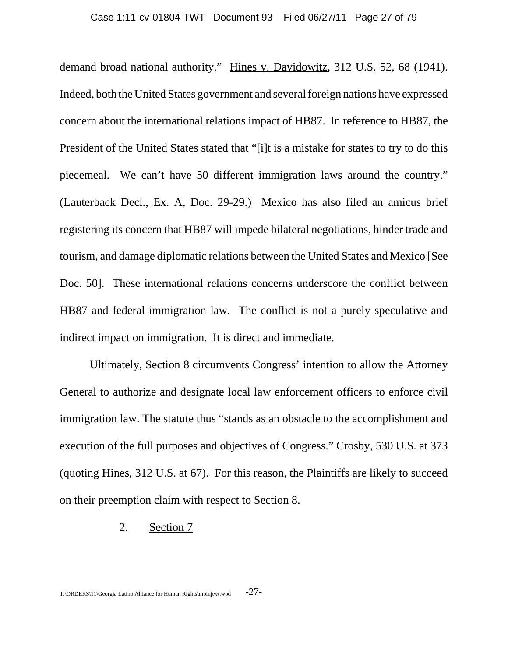demand broad national authority." Hines v. Davidowitz, 312 U.S. 52, 68 (1941). Indeed, both the United States government and several foreign nations have expressed concern about the international relations impact of HB87. In reference to HB87, the President of the United States stated that "[i]t is a mistake for states to try to do this piecemeal. We can't have 50 different immigration laws around the country." (Lauterback Decl., Ex. A, Doc. 29-29.) Mexico has also filed an amicus brief registering its concern that HB87 will impede bilateral negotiations, hinder trade and tourism, and damage diplomatic relations between the United States and Mexico [See Doc. 50]. These international relations concerns underscore the conflict between HB87 and federal immigration law. The conflict is not a purely speculative and indirect impact on immigration. It is direct and immediate.

Ultimately, Section 8 circumvents Congress' intention to allow the Attorney General to authorize and designate local law enforcement officers to enforce civil immigration law. The statute thus "stands as an obstacle to the accomplishment and execution of the full purposes and objectives of Congress." Crosby, 530 U.S. at 373 (quoting Hines, 312 U.S. at 67). For this reason, the Plaintiffs are likely to succeed on their preemption claim with respect to Section 8.

#### 2. Section 7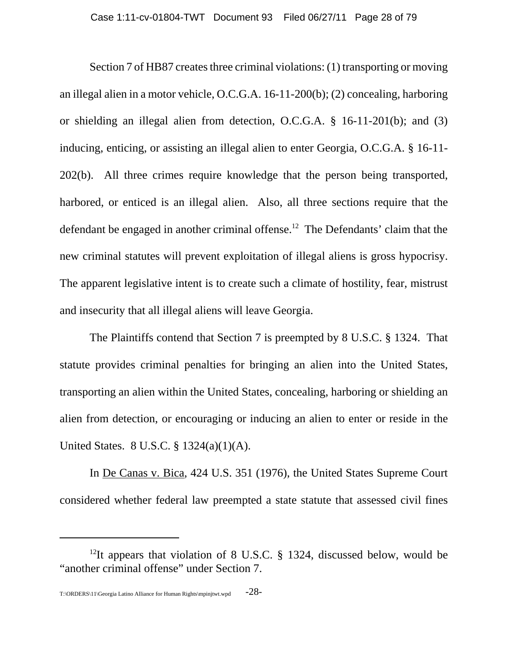Section 7 of HB87 creates three criminal violations: (1) transporting or moving an illegal alien in a motor vehicle, O.C.G.A. 16-11-200(b); (2) concealing, harboring or shielding an illegal alien from detection, O.C.G.A. § 16-11-201(b); and (3) inducing, enticing, or assisting an illegal alien to enter Georgia, O.C.G.A. § 16-11- 202(b). All three crimes require knowledge that the person being transported, harbored, or enticed is an illegal alien. Also, all three sections require that the defendant be engaged in another criminal offense.<sup>12</sup> The Defendants' claim that the new criminal statutes will prevent exploitation of illegal aliens is gross hypocrisy. The apparent legislative intent is to create such a climate of hostility, fear, mistrust and insecurity that all illegal aliens will leave Georgia.

The Plaintiffs contend that Section 7 is preempted by 8 U.S.C. § 1324. That statute provides criminal penalties for bringing an alien into the United States, transporting an alien within the United States, concealing, harboring or shielding an alien from detection, or encouraging or inducing an alien to enter or reside in the United States. 8 U.S.C. § 1324(a)(1)(A).

In De Canas v. Bica, 424 U.S. 351 (1976), the United States Supreme Court considered whether federal law preempted a state statute that assessed civil fines

<sup>&</sup>lt;sup>12</sup>It appears that violation of 8 U.S.C. § 1324, discussed below, would be "another criminal offense" under Section 7.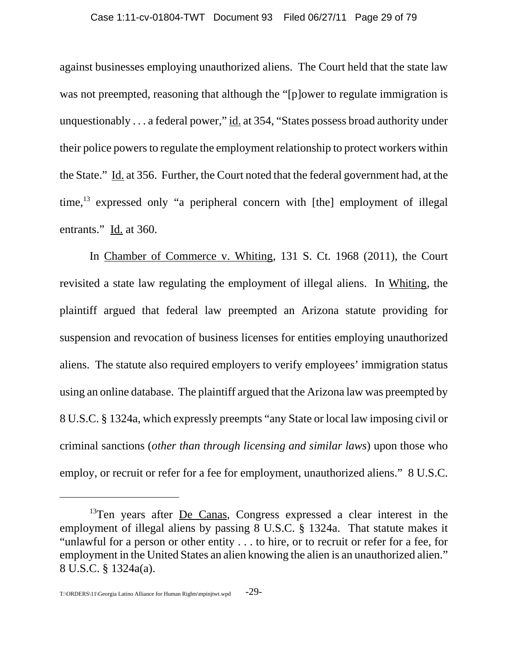against businesses employing unauthorized aliens. The Court held that the state law was not preempted, reasoning that although the "[p]ower to regulate immigration is unquestionably . . . a federal power," id. at 354, "States possess broad authority under their police powers to regulate the employment relationship to protect workers within the State." Id. at 356. Further, the Court noted that the federal government had, at the time, $^{13}$  expressed only "a peripheral concern with [the] employment of illegal entrants." Id. at 360.

In Chamber of Commerce v. Whiting, 131 S. Ct. 1968 (2011), the Court revisited a state law regulating the employment of illegal aliens. In Whiting, the plaintiff argued that federal law preempted an Arizona statute providing for suspension and revocation of business licenses for entities employing unauthorized aliens. The statute also required employers to verify employees' immigration status using an online database. The plaintiff argued that the Arizona law was preempted by 8 U.S.C. § 1324a, which expressly preempts "any State or local law imposing civil or criminal sanctions (*other than through licensing and similar laws*) upon those who employ, or recruit or refer for a fee for employment, unauthorized aliens." 8 U.S.C.

 $13$ Ten years after <u>De Canas</u>, Congress expressed a clear interest in the employment of illegal aliens by passing 8 U.S.C. § 1324a. That statute makes it "unlawful for a person or other entity . . . to hire, or to recruit or refer for a fee, for employment in the United States an alien knowing the alien is an unauthorized alien." 8 U.S.C. § 1324a(a).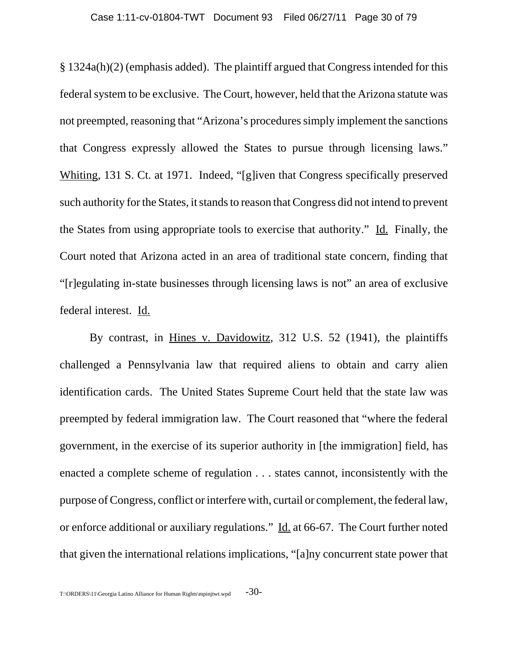§ 1324a(h)(2) (emphasis added). The plaintiff argued that Congress intended for this federal system to be exclusive. The Court, however, held that the Arizona statute was not preempted, reasoning that "Arizona's procedures simply implement the sanctions that Congress expressly allowed the States to pursue through licensing laws." Whiting, 131 S. Ct. at 1971. Indeed, "[g]iven that Congress specifically preserved such authority for the States, it stands to reason that Congress did not intend to prevent the States from using appropriate tools to exercise that authority." Id. Finally, the Court noted that Arizona acted in an area of traditional state concern, finding that "[r]egulating in-state businesses through licensing laws is not" an area of exclusive federal interest. Id.

By contrast, in Hines v. Davidowitz, 312 U.S. 52 (1941), the plaintiffs challenged a Pennsylvania law that required aliens to obtain and carry alien identification cards. The United States Supreme Court held that the state law was preempted by federal immigration law. The Court reasoned that "where the federal government, in the exercise of its superior authority in [the immigration] field, has enacted a complete scheme of regulation . . . states cannot, inconsistently with the purpose of Congress, conflict or interfere with, curtail or complement, the federal law, or enforce additional or auxiliary regulations." Id. at 66-67. The Court further noted that given the international relations implications, "[a]ny concurrent state power that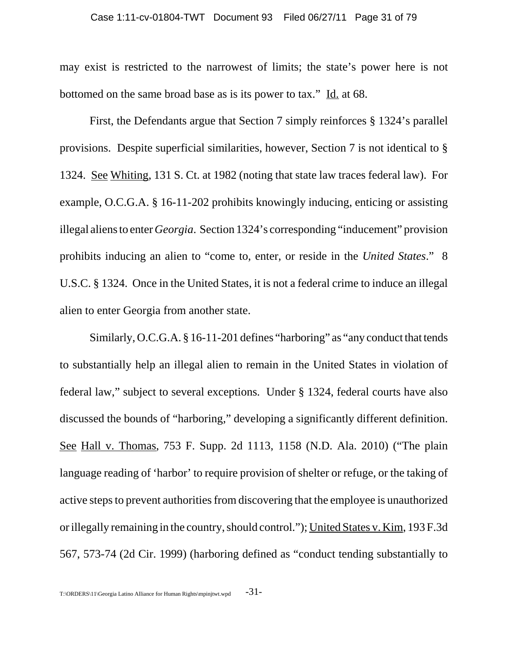may exist is restricted to the narrowest of limits; the state's power here is not bottomed on the same broad base as is its power to tax." Id. at 68.

First, the Defendants argue that Section 7 simply reinforces § 1324's parallel provisions. Despite superficial similarities, however, Section 7 is not identical to § 1324. See Whiting, 131 S. Ct. at 1982 (noting that state law traces federal law). For example, O.C.G.A. § 16-11-202 prohibits knowingly inducing, enticing or assisting illegal aliens to enter *Georgia*. Section 1324's corresponding "inducement" provision prohibits inducing an alien to "come to, enter, or reside in the *United States*." 8 U.S.C. § 1324. Once in the United States, it is not a federal crime to induce an illegal alien to enter Georgia from another state.

Similarly, O.C.G.A. § 16-11-201 defines "harboring" as "any conduct that tends to substantially help an illegal alien to remain in the United States in violation of federal law," subject to several exceptions. Under § 1324, federal courts have also discussed the bounds of "harboring," developing a significantly different definition. See Hall v. Thomas, 753 F. Supp. 2d 1113, 1158 (N.D. Ala. 2010) ("The plain language reading of 'harbor' to require provision of shelter or refuge, or the taking of active steps to prevent authorities from discovering that the employee is unauthorized or illegally remaining in the country, should control."); United States v. Kim, 193 F.3d 567, 573-74 (2d Cir. 1999) (harboring defined as "conduct tending substantially to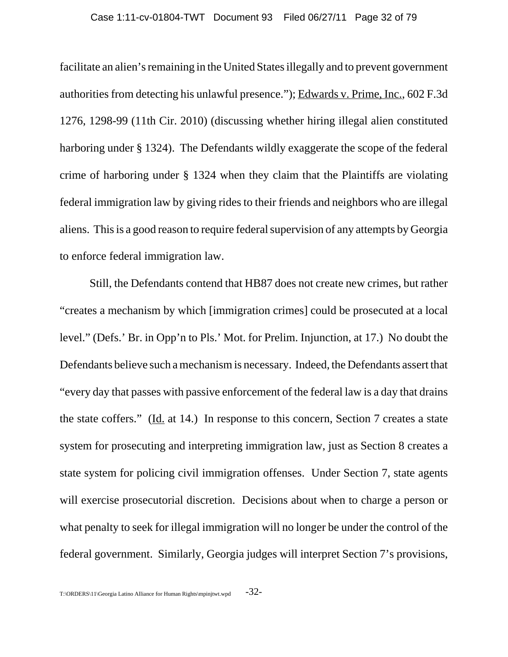facilitate an alien's remaining in the United States illegally and to prevent government authorities from detecting his unlawful presence."); Edwards v. Prime, Inc., 602 F.3d 1276, 1298-99 (11th Cir. 2010) (discussing whether hiring illegal alien constituted harboring under § 1324). The Defendants wildly exaggerate the scope of the federal crime of harboring under § 1324 when they claim that the Plaintiffs are violating federal immigration law by giving rides to their friends and neighbors who are illegal aliens. This is a good reason to require federal supervision of any attempts by Georgia to enforce federal immigration law.

Still, the Defendants contend that HB87 does not create new crimes, but rather "creates a mechanism by which [immigration crimes] could be prosecuted at a local level." (Defs.' Br. in Opp'n to Pls.' Mot. for Prelim. Injunction, at 17.) No doubt the Defendants believe such a mechanism is necessary. Indeed, the Defendants assert that "every day that passes with passive enforcement of the federal law is a day that drains the state coffers." (Id. at 14.) In response to this concern, Section 7 creates a state system for prosecuting and interpreting immigration law, just as Section 8 creates a state system for policing civil immigration offenses. Under Section 7, state agents will exercise prosecutorial discretion. Decisions about when to charge a person or what penalty to seek for illegal immigration will no longer be under the control of the federal government. Similarly, Georgia judges will interpret Section 7's provisions,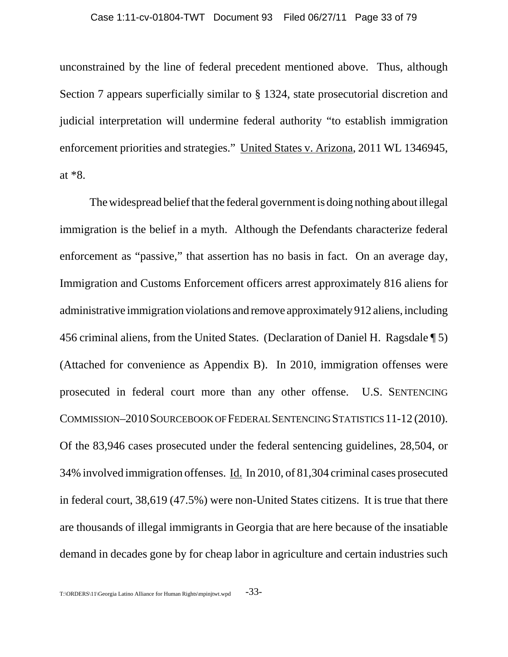unconstrained by the line of federal precedent mentioned above. Thus, although Section 7 appears superficially similar to § 1324, state prosecutorial discretion and judicial interpretation will undermine federal authority "to establish immigration enforcement priorities and strategies." United States v. Arizona, 2011 WL 1346945, at \*8.

The widespread belief that the federal government is doing nothing about illegal immigration is the belief in a myth. Although the Defendants characterize federal enforcement as "passive," that assertion has no basis in fact. On an average day, Immigration and Customs Enforcement officers arrest approximately 816 aliens for administrative immigration violations and remove approximately 912 aliens, including 456 criminal aliens, from the United States. (Declaration of Daniel H. Ragsdale ¶ 5) (Attached for convenience as Appendix B). In 2010, immigration offenses were prosecuted in federal court more than any other offense. U.S. SENTENCING COMMISSION–2010SOURCEBOOK OF FEDERAL SENTENCING STATISTICS 11-12 (2010). Of the 83,946 cases prosecuted under the federal sentencing guidelines, 28,504, or 34% involved immigration offenses. Id. In 2010, of 81,304 criminal cases prosecuted in federal court, 38,619 (47.5%) were non-United States citizens. It is true that there are thousands of illegal immigrants in Georgia that are here because of the insatiable demand in decades gone by for cheap labor in agriculture and certain industries such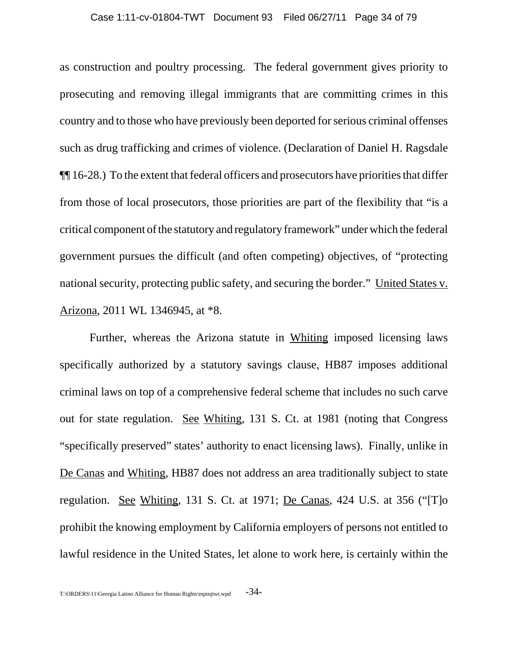as construction and poultry processing. The federal government gives priority to prosecuting and removing illegal immigrants that are committing crimes in this country and to those who have previously been deported for serious criminal offenses such as drug trafficking and crimes of violence. (Declaration of Daniel H. Ragsdale ¶¶ 16-28.) To the extent that federal officers and prosecutors have priorities that differ from those of local prosecutors, those priorities are part of the flexibility that "is a critical component of the statutory and regulatory framework" under which the federal government pursues the difficult (and often competing) objectives, of "protecting national security, protecting public safety, and securing the border." United States v. Arizona, 2011 WL 1346945, at \*8.

Further, whereas the Arizona statute in Whiting imposed licensing laws specifically authorized by a statutory savings clause, HB87 imposes additional criminal laws on top of a comprehensive federal scheme that includes no such carve out for state regulation. See Whiting, 131 S. Ct. at 1981 (noting that Congress "specifically preserved" states' authority to enact licensing laws). Finally, unlike in De Canas and Whiting, HB87 does not address an area traditionally subject to state regulation. See Whiting, 131 S. Ct. at 1971; De Canas, 424 U.S. at 356 ("[T]o prohibit the knowing employment by California employers of persons not entitled to lawful residence in the United States, let alone to work here, is certainly within the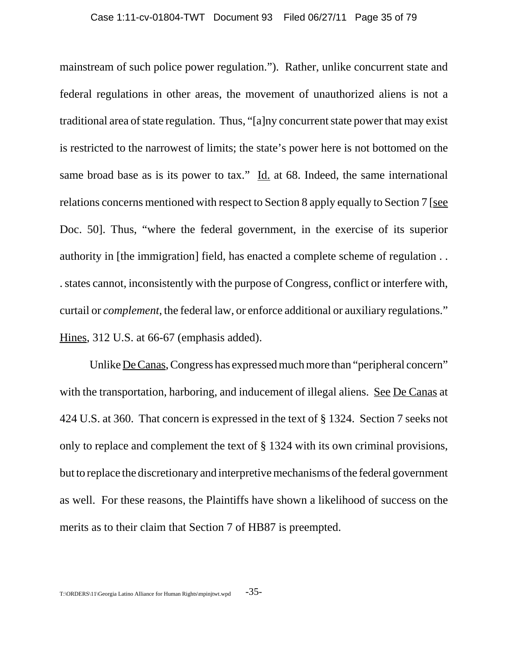mainstream of such police power regulation."). Rather, unlike concurrent state and federal regulations in other areas, the movement of unauthorized aliens is not a traditional area of state regulation. Thus, "[a]ny concurrent state power that may exist is restricted to the narrowest of limits; the state's power here is not bottomed on the same broad base as is its power to tax." Id. at 68. Indeed, the same international relations concerns mentioned with respect to Section 8 apply equally to Section 7 [see Doc. 50]. Thus, "where the federal government, in the exercise of its superior authority in [the immigration] field, has enacted a complete scheme of regulation . . . states cannot, inconsistently with the purpose of Congress, conflict or interfere with, curtail or *complement*, the federal law, or enforce additional or auxiliary regulations." Hines, 312 U.S. at 66-67 (emphasis added).

Unlike <u>De Canas</u>, Congress has expressed much more than "peripheral concern" with the transportation, harboring, and inducement of illegal aliens. See De Canas at 424 U.S. at 360. That concern is expressed in the text of § 1324. Section 7 seeks not only to replace and complement the text of § 1324 with its own criminal provisions, but to replace the discretionary and interpretive mechanisms of the federal government as well. For these reasons, the Plaintiffs have shown a likelihood of success on the merits as to their claim that Section 7 of HB87 is preempted.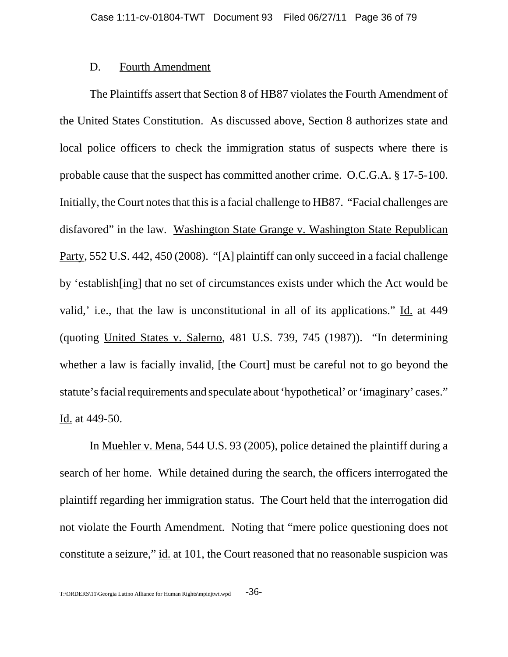#### D. Fourth Amendment

The Plaintiffs assert that Section 8 of HB87 violates the Fourth Amendment of the United States Constitution. As discussed above, Section 8 authorizes state and local police officers to check the immigration status of suspects where there is probable cause that the suspect has committed another crime. O.C.G.A. § 17-5-100. Initially, the Court notes that this is a facial challenge to HB87. "Facial challenges are disfavored" in the law. Washington State Grange v. Washington State Republican Party, 552 U.S. 442, 450 (2008). "[A] plaintiff can only succeed in a facial challenge by 'establish[ing] that no set of circumstances exists under which the Act would be valid,' i.e., that the law is unconstitutional in all of its applications." Id. at 449 (quoting United States v. Salerno, 481 U.S. 739, 745 (1987)). "In determining whether a law is facially invalid, [the Court] must be careful not to go beyond the statute's facial requirements and speculate about 'hypothetical' or 'imaginary' cases." Id. at 449-50.

In Muehler v. Mena, 544 U.S. 93 (2005), police detained the plaintiff during a search of her home. While detained during the search, the officers interrogated the plaintiff regarding her immigration status. The Court held that the interrogation did not violate the Fourth Amendment. Noting that "mere police questioning does not constitute a seizure," id. at 101, the Court reasoned that no reasonable suspicion was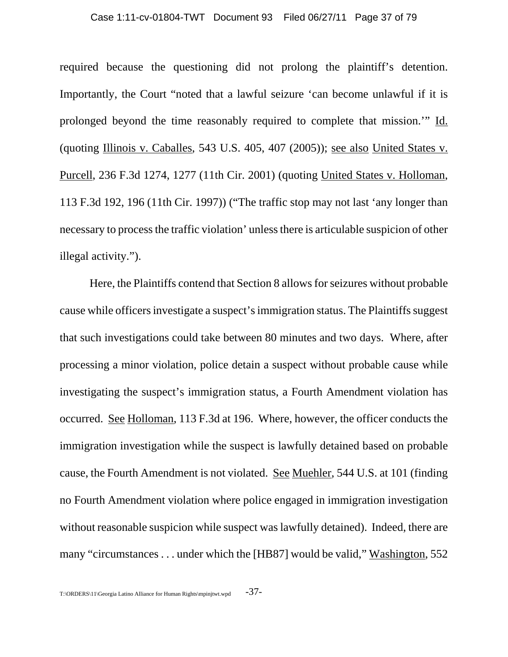#### Case 1:11-cv-01804-TWT Document 93 Filed 06/27/11 Page 37 of 79

required because the questioning did not prolong the plaintiff's detention. Importantly, the Court "noted that a lawful seizure 'can become unlawful if it is prolonged beyond the time reasonably required to complete that mission.'" Id. (quoting Illinois v. Caballes, 543 U.S. 405, 407 (2005)); see also United States v. Purcell, 236 F.3d 1274, 1277 (11th Cir. 2001) (quoting United States v. Holloman, 113 F.3d 192, 196 (11th Cir. 1997)) ("The traffic stop may not last 'any longer than necessary to process the traffic violation' unless there is articulable suspicion of other illegal activity.").

Here, the Plaintiffs contend that Section 8 allows for seizures without probable cause while officers investigate a suspect's immigration status. The Plaintiffs suggest that such investigations could take between 80 minutes and two days. Where, after processing a minor violation, police detain a suspect without probable cause while investigating the suspect's immigration status, a Fourth Amendment violation has occurred. See Holloman, 113 F.3d at 196. Where, however, the officer conducts the immigration investigation while the suspect is lawfully detained based on probable cause, the Fourth Amendment is not violated. See Muehler, 544 U.S. at 101 (finding no Fourth Amendment violation where police engaged in immigration investigation without reasonable suspicion while suspect was lawfully detained). Indeed, there are many "circumstances . . . under which the [HB87] would be valid," Washington, 552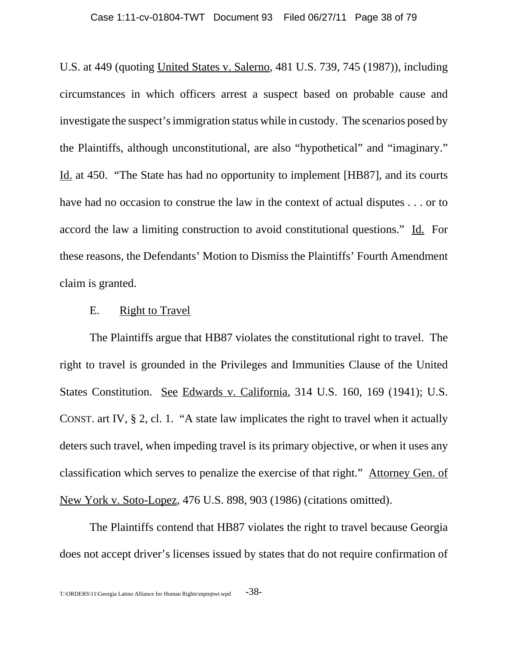U.S. at 449 (quoting United States v. Salerno, 481 U.S. 739, 745 (1987)), including circumstances in which officers arrest a suspect based on probable cause and investigate the suspect's immigration status while in custody. The scenarios posed by the Plaintiffs, although unconstitutional, are also "hypothetical" and "imaginary." Id. at 450. "The State has had no opportunity to implement [HB87], and its courts have had no occasion to construe the law in the context of actual disputes . . . or to accord the law a limiting construction to avoid constitutional questions." Id. For these reasons, the Defendants' Motion to Dismiss the Plaintiffs' Fourth Amendment claim is granted.

## E. Right to Travel

The Plaintiffs argue that HB87 violates the constitutional right to travel. The right to travel is grounded in the Privileges and Immunities Clause of the United States Constitution. See Edwards v. California, 314 U.S. 160, 169 (1941); U.S. CONST. art IV, § 2, cl. 1. "A state law implicates the right to travel when it actually deters such travel, when impeding travel is its primary objective, or when it uses any classification which serves to penalize the exercise of that right." Attorney Gen. of New York v. Soto-Lopez, 476 U.S. 898, 903 (1986) (citations omitted).

The Plaintiffs contend that HB87 violates the right to travel because Georgia does not accept driver's licenses issued by states that do not require confirmation of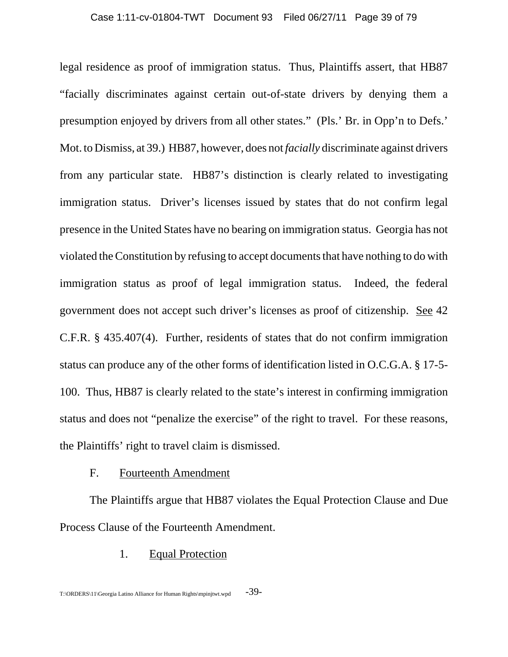legal residence as proof of immigration status. Thus, Plaintiffs assert, that HB87 "facially discriminates against certain out-of-state drivers by denying them a presumption enjoyed by drivers from all other states." (Pls.' Br. in Opp'n to Defs.' Mot. to Dismiss, at 39.) HB87, however, does not *facially* discriminate against drivers from any particular state. HB87's distinction is clearly related to investigating immigration status. Driver's licenses issued by states that do not confirm legal presence in the United States have no bearing on immigration status. Georgia has not violated the Constitution by refusing to accept documents that have nothing to do with immigration status as proof of legal immigration status. Indeed, the federal government does not accept such driver's licenses as proof of citizenship. See 42 C.F.R. § 435.407(4). Further, residents of states that do not confirm immigration status can produce any of the other forms of identification listed in O.C.G.A. § 17-5- 100. Thus, HB87 is clearly related to the state's interest in confirming immigration status and does not "penalize the exercise" of the right to travel. For these reasons, the Plaintiffs' right to travel claim is dismissed.

# F. Fourteenth Amendment

The Plaintiffs argue that HB87 violates the Equal Protection Clause and Due Process Clause of the Fourteenth Amendment.

## 1. Equal Protection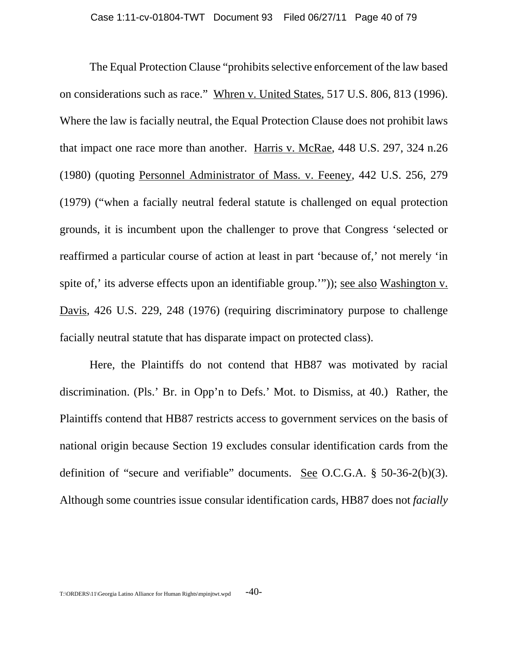The Equal Protection Clause "prohibits selective enforcement of the law based on considerations such as race." Whren v. United States, 517 U.S. 806, 813 (1996). Where the law is facially neutral, the Equal Protection Clause does not prohibit laws that impact one race more than another. Harris v. McRae, 448 U.S. 297, 324 n.26 (1980) (quoting Personnel Administrator of Mass. v. Feeney, 442 U.S. 256, 279 (1979) ("when a facially neutral federal statute is challenged on equal protection grounds, it is incumbent upon the challenger to prove that Congress 'selected or reaffirmed a particular course of action at least in part 'because of,' not merely 'in spite of,' its adverse effects upon an identifiable group.'")); see also Washington v. Davis, 426 U.S. 229, 248 (1976) (requiring discriminatory purpose to challenge facially neutral statute that has disparate impact on protected class).

Here, the Plaintiffs do not contend that HB87 was motivated by racial discrimination. (Pls.' Br. in Opp'n to Defs.' Mot. to Dismiss, at 40.) Rather, the Plaintiffs contend that HB87 restricts access to government services on the basis of national origin because Section 19 excludes consular identification cards from the definition of "secure and verifiable" documents. See O.C.G.A. § 50-36-2(b)(3). Although some countries issue consular identification cards, HB87 does not *facially*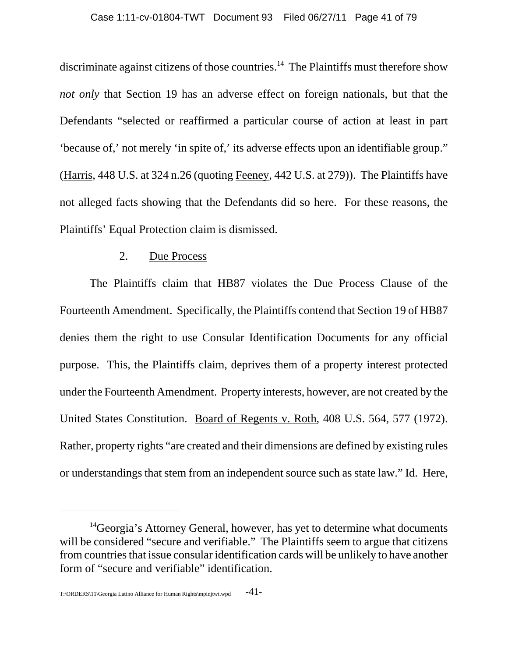discriminate against citizens of those countries.<sup>14</sup> The Plaintiffs must therefore show *not only* that Section 19 has an adverse effect on foreign nationals, but that the Defendants "selected or reaffirmed a particular course of action at least in part 'because of,' not merely 'in spite of,' its adverse effects upon an identifiable group." (Harris, 448 U.S. at 324 n.26 (quoting Feeney, 442 U.S. at 279)). The Plaintiffs have not alleged facts showing that the Defendants did so here. For these reasons, the Plaintiffs' Equal Protection claim is dismissed.

## 2. Due Process

The Plaintiffs claim that HB87 violates the Due Process Clause of the Fourteenth Amendment. Specifically, the Plaintiffs contend that Section 19 of HB87 denies them the right to use Consular Identification Documents for any official purpose. This, the Plaintiffs claim, deprives them of a property interest protected under the Fourteenth Amendment. Property interests, however, are not created by the United States Constitution. Board of Regents v. Roth, 408 U.S. 564, 577 (1972). Rather, property rights "are created and their dimensions are defined by existing rules or understandings that stem from an independent source such as state law." Id. Here,

<sup>&</sup>lt;sup>14</sup>Georgia's Attorney General, however, has yet to determine what documents will be considered "secure and verifiable." The Plaintiffs seem to argue that citizens from countries that issue consular identification cards will be unlikely to have another form of "secure and verifiable" identification.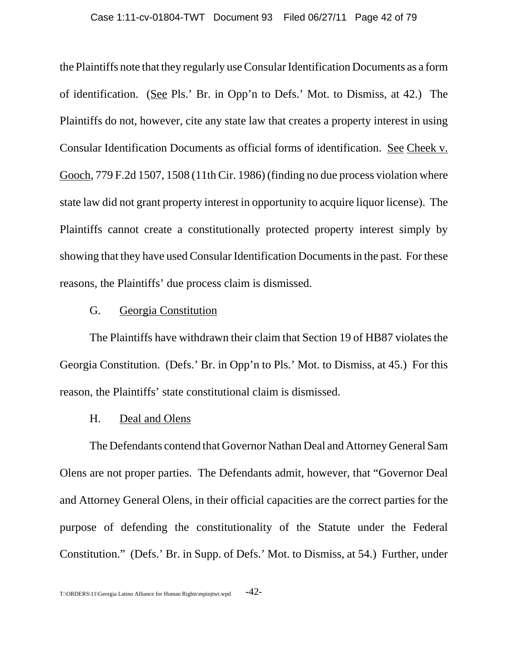the Plaintiffs note that they regularly use Consular Identification Documents as a form of identification. (See Pls.' Br. in Opp'n to Defs.' Mot. to Dismiss, at 42.) The Plaintiffs do not, however, cite any state law that creates a property interest in using Consular Identification Documents as official forms of identification. See Cheek v. Gooch, 779 F.2d 1507, 1508 (11th Cir. 1986) (finding no due process violation where state law did not grant property interest in opportunity to acquire liquor license). The Plaintiffs cannot create a constitutionally protected property interest simply by showing that they have used Consular Identification Documents in the past. For these reasons, the Plaintiffs' due process claim is dismissed.

## G. Georgia Constitution

The Plaintiffs have withdrawn their claim that Section 19 of HB87 violates the Georgia Constitution. (Defs.' Br. in Opp'n to Pls.' Mot. to Dismiss, at 45.) For this reason, the Plaintiffs' state constitutional claim is dismissed.

### H. Deal and Olens

The Defendants contend that Governor Nathan Deal and Attorney General Sam Olens are not proper parties. The Defendants admit, however, that "Governor Deal and Attorney General Olens, in their official capacities are the correct parties for the purpose of defending the constitutionality of the Statute under the Federal Constitution." (Defs.' Br. in Supp. of Defs.' Mot. to Dismiss, at 54.) Further, under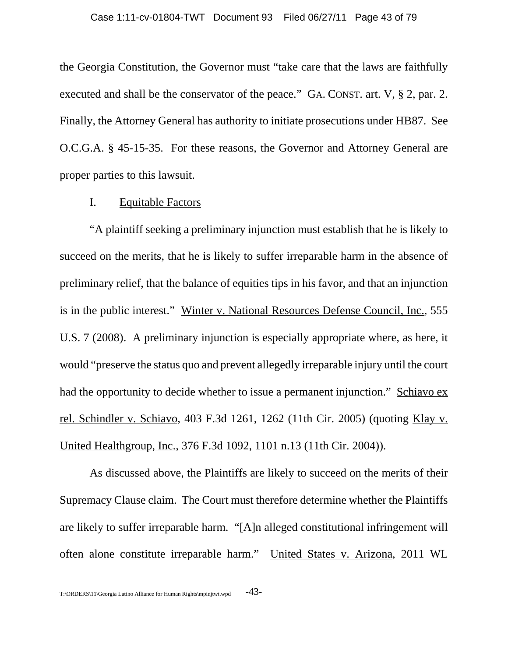the Georgia Constitution, the Governor must "take care that the laws are faithfully executed and shall be the conservator of the peace." GA. CONST. art. V, § 2, par. 2. Finally, the Attorney General has authority to initiate prosecutions under HB87. See O.C.G.A. § 45-15-35. For these reasons, the Governor and Attorney General are proper parties to this lawsuit.

## I. Equitable Factors

"A plaintiff seeking a preliminary injunction must establish that he is likely to succeed on the merits, that he is likely to suffer irreparable harm in the absence of preliminary relief, that the balance of equities tips in his favor, and that an injunction is in the public interest." Winter v. National Resources Defense Council, Inc., 555 U.S. 7 (2008). A preliminary injunction is especially appropriate where, as here, it would "preserve the status quo and prevent allegedly irreparable injury until the court had the opportunity to decide whether to issue a permanent injunction." Schiavo ex rel. Schindler v. Schiavo, 403 F.3d 1261, 1262 (11th Cir. 2005) (quoting Klay v. United Healthgroup, Inc., 376 F.3d 1092, 1101 n.13 (11th Cir. 2004)).

As discussed above, the Plaintiffs are likely to succeed on the merits of their Supremacy Clause claim. The Court must therefore determine whether the Plaintiffs are likely to suffer irreparable harm. "[A]n alleged constitutional infringement will often alone constitute irreparable harm." United States v. Arizona, 2011 WL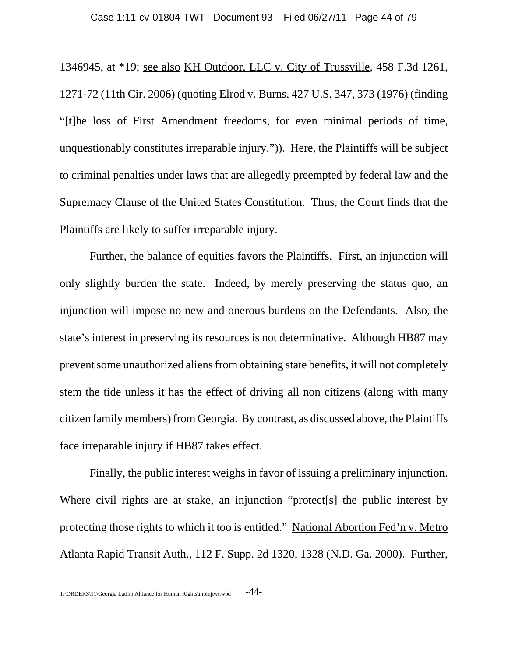1346945, at \*19; see also KH Outdoor, LLC v. City of Trussville, 458 F.3d 1261, 1271-72 (11th Cir. 2006) (quoting Elrod v. Burns, 427 U.S. 347, 373 (1976) (finding "[t]he loss of First Amendment freedoms, for even minimal periods of time, unquestionably constitutes irreparable injury.")). Here, the Plaintiffs will be subject to criminal penalties under laws that are allegedly preempted by federal law and the Supremacy Clause of the United States Constitution. Thus, the Court finds that the Plaintiffs are likely to suffer irreparable injury.

Further, the balance of equities favors the Plaintiffs. First, an injunction will only slightly burden the state. Indeed, by merely preserving the status quo, an injunction will impose no new and onerous burdens on the Defendants. Also, the state's interest in preserving its resources is not determinative. Although HB87 may prevent some unauthorized aliens from obtaining state benefits, it will not completely stem the tide unless it has the effect of driving all non citizens (along with many citizen family members) from Georgia. By contrast, as discussed above, the Plaintiffs face irreparable injury if HB87 takes effect.

Finally, the public interest weighs in favor of issuing a preliminary injunction. Where civil rights are at stake, an injunction "protect<sup>[s]</sup> the public interest by protecting those rights to which it too is entitled." National Abortion Fed'n v. Metro Atlanta Rapid Transit Auth., 112 F. Supp. 2d 1320, 1328 (N.D. Ga. 2000). Further,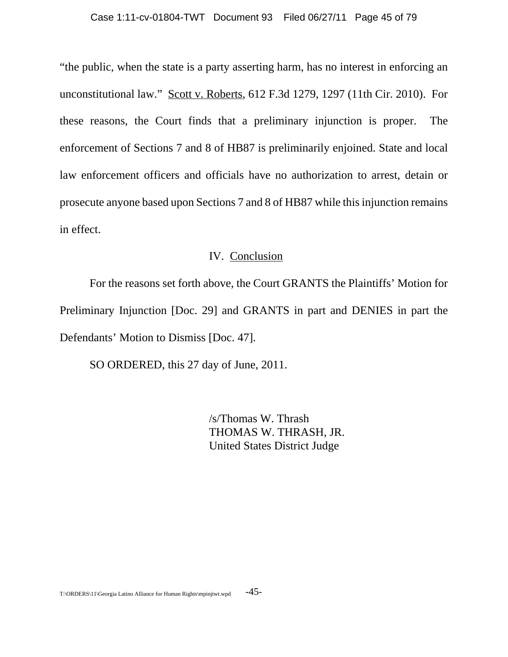"the public, when the state is a party asserting harm, has no interest in enforcing an unconstitutional law." Scott v. Roberts, 612 F.3d 1279, 1297 (11th Cir. 2010). For these reasons, the Court finds that a preliminary injunction is proper. The enforcement of Sections 7 and 8 of HB87 is preliminarily enjoined. State and local law enforcement officers and officials have no authorization to arrest, detain or prosecute anyone based upon Sections 7 and 8 of HB87 while this injunction remains in effect.

# IV. Conclusion

For the reasons set forth above, the Court GRANTS the Plaintiffs' Motion for Preliminary Injunction [Doc. 29] and GRANTS in part and DENIES in part the Defendants' Motion to Dismiss [Doc. 47].

SO ORDERED, this 27 day of June, 2011.

/s/Thomas W. Thrash THOMAS W. THRASH, JR. United States District Judge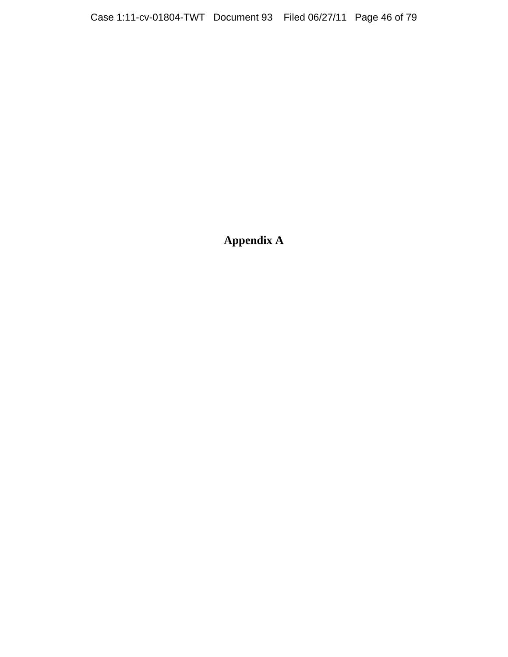**Appendix A**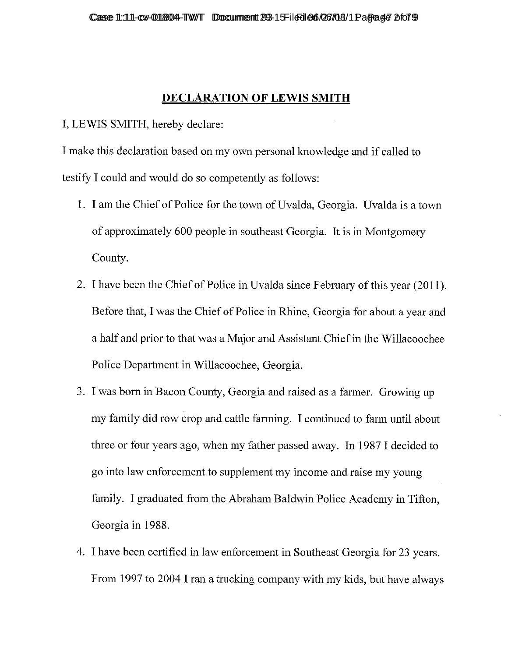# **DECLARATION OF LEWIS SMITH**

I, LEWIS SMITH, hereby declare:

I make this declaration based on my own personal knowledge and if called to testify I could and would do so competently as follows:

- 1. I am the Chief of Police for the town of Uvalda, Georgia. Uvalda is a town of approximately 600 people in southeast Georgia. It is in Montgomery County.
- 2. I have been the Chief of Police in Uvalda since February of this year (2011). Before that, I was the Chief of Police in Rhine, Georgia for about a year and a half and prior to that was a Major and Assistant Chief in the Willacoochee Police Department in Willacoochee, Georgia.
- 3. I was born in Bacon County, Georgia and raised as a farmer. Growing up my family did row crop and cattle farming. I continued to farm until about three or four years ago, when my father passed away. In 1987 I decided to go into law enforcement to supplement my income and raise my young family. I graduated from the Abraham Baldwin Police Academy in Tifton, Georgia in 1988.
- 4. I have been certified in law enforcement in Southeast Georgia for 23 years. From 1997 to 2004 I ran a trucking company with my kids, but have always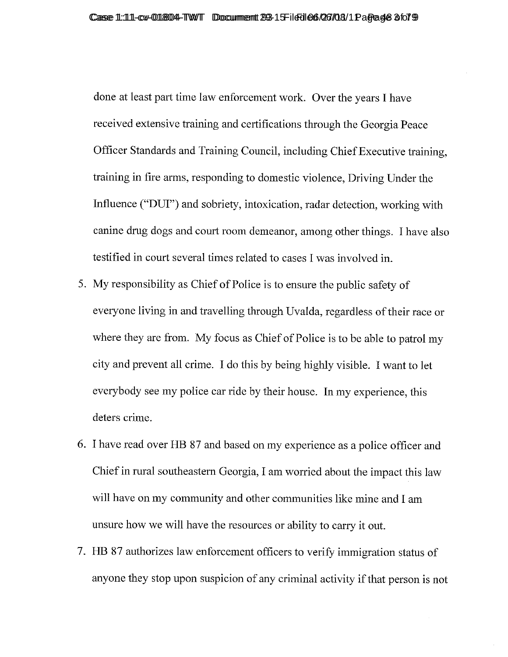done at least part time law enforcement work. Over the years I have received extensive training and certifications through the Georgia Peace Officer Standards and Training Council, including Chief Executive training, training in fire arms, responding to domestic violence, Driving Under the Influence ("DUI") and sobriety, intoxication, radar detection, working with canine drug dogs and court room demeanor, among other things. I have also testified in court several times related to cases I was involved in.

- 5. My responsibility as Chief of Police is to ensure the public safety of everyone living in and travelling through Uvalda, regardless of their race or where they are from. My focus as Chief of Police is to be able to patrol my city and prevent all crime. I do this by being highly visible. I want to let everybody see my police car ride by their house. In my experience, this deters crime.
- 6. I have read over HB 87 and based on my experience as a police officer and Chief in rural southeastern Georgia, I am worried about the impact this law will have on my community and other communities like mine and I am unsure how we will have the resources or ability to carry it out.
- 7. HB 87 authorizes law enforcement officers to verify immigration status of anyone they stop upon suspicion of any criminal activity if that person is not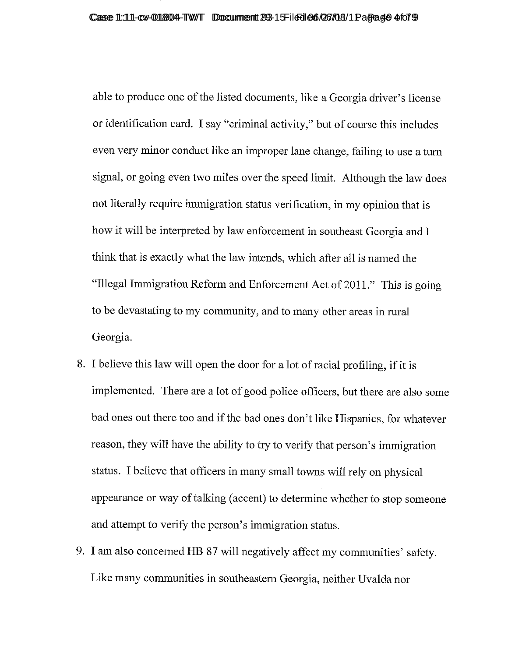able to produce one of the listed documents, like a Georgia driver's license or identification card. I say "criminal activity," but of course this includes even very minor conduct like an improper lane change, failing to use a turn signal, or going even two miles over the speed limit. Although the law does not literally require immigration status verification, in my opinion that is how it will be interpreted by law enforcement in southeast Georgia and I think that is exactly what the law intends, which after all is named the "Illegal Immigration Reform and Enforcement Act of 2011." This is going to be devastating to my community, and to many other areas in rural Georgia.

- 8. I believe this law will open the door for a lot of racial profiling, if it is implemented. There are a lot of good police officers, but there are also some bad ones out there too and if the bad ones don't like Hispanics, for whatever reason, they will have the ability to try to verify that person's immigration status. I believe that officers in many small towns will rely on physical appearance or way of talking (accent) to determine whether to stop someone and attempt to verify the person's immigration status.
- 9. I am also concerned HB 87 will negatively affect my communities' safety. Like many communities in southeastern Georgia, neither Uvalda nor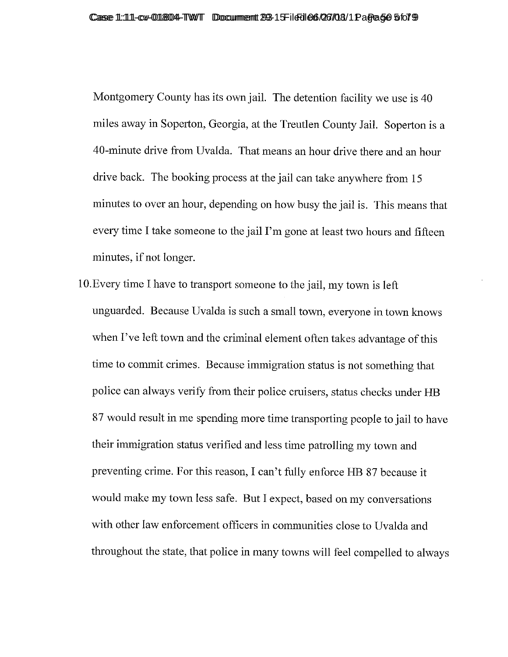Montgomery County has its own jail. The detention facility we use is 40 miles away in Soperton, Georgia, at the Treutlen County Jail. Soperton is a 40-minute drive from Uvalda. That means an hour drive there and an hour drive back. The booking process at the jail can take anywhere from 15 minutes to over an hour, depending on how busy the jail is. This means that every time I take someone to the jail I'm gone at least two hours and fifteen minutes, if not longer.

10. Every time I have to transport someone to the jail, my town is left unguarded. Because Uvalda is such a small town, everyone in town knows when I've left town and the criminal element often takes advantage of this time to commit crimes. Because immigration status is not something that police can always verify from their police cruisers, status checks under HB 87 would result in me spending more time transporting people to jail to have their immigration status verified and less time patrolling my town and preventing crime. For this reason, I can't fully enforce HB 87 because it would make my town less safe. But I expect, based on my conversations with other law enforcement officers in communities close to Uvalda and throughout the state, that police in many towns will feel compelled to always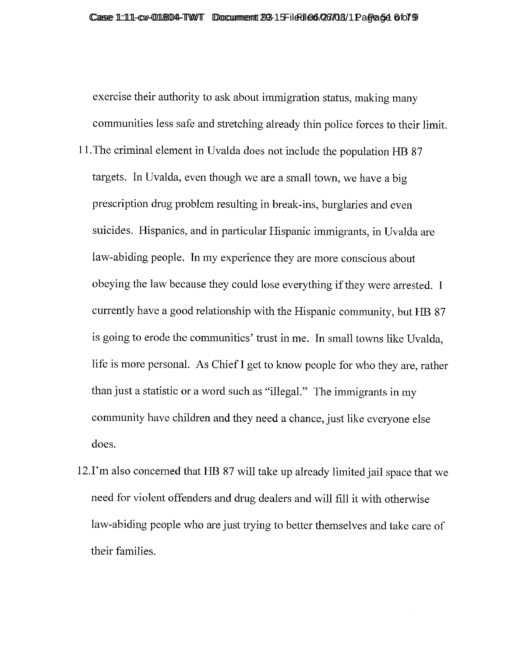exercise their authority to ask about immigration status, making many communities less safe and stretching already thin police forces to their limit.

- 11. The criminal element in Uvalda does not include the population HB 87 targets. In Uvalda, even though we are a small town, we have a big prescription drug problem resulting in break-ins, burglaries and even suicides. Hispanics, and in particular Hispanic immigrants, in Uvalda are law-abiding people. In my experience they are more conscious about obeying the law because they could lose everything if they were arrested. I currently have a good relationship with the Hispanic community, but HB 87 is going to erode the communities' trust in me. In small towns like Uvalda, life is more personal. As Chief I get to know people for who they are, rather than just a statistic or a word such as "illegal." The immigrants in my community have children and they need a chance, just like everyone else does.
- 12.I'm also concerned that HB 87 will take up already limited jail space that we need for violent offenders and drug dealers and will fill it with otherwise law-abiding people who are just trying to better themselves and take care of their families.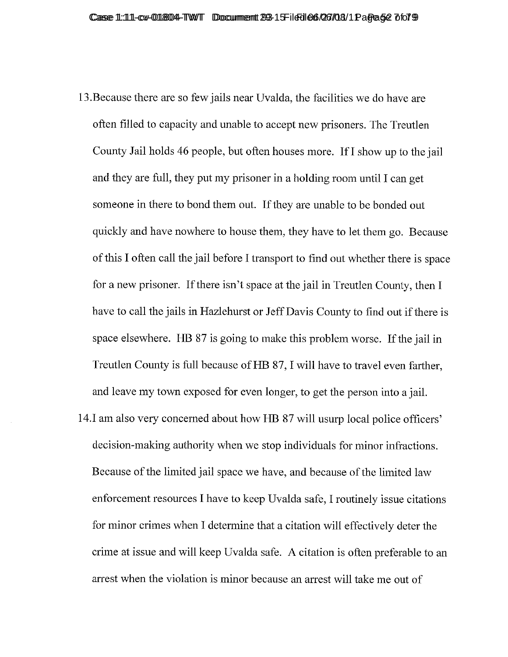- 13. Because there are so few jails near Uvalda, the facilities we do have are often filled to capacity and unable to accept new prisoners. The Treutlen County Jail holds 46 people, but often houses more. If I show up to the jail and they are full, they put my prisoner in a holding room until I can get someone in there to bond them out. If they are unable to be bonded out quickly and have nowhere to house them, they have to let them go. Because of this I often call the jail before I transport to find out whether there is space for a new prisoner. If there isn't space at the jail in Treutlen County, then I have to call the jails in Hazlehurst or Jeff Davis County to find out if there is space elsewhere. HB 87 is going to make this problem worse. If the jail in Treutlen County is full because of HB 87, I will have to travel even farther, and leave my town exposed for even longer, to get the person into a jail.
- 14. I am also very concerned about how HB 87 will usurp local police officers' decision-making authority when we stop individuals for minor infractions. Because of the limited jail space we have, and because of the limited law enforcement resources I have to keep Uvalda safe, I routinely issue citations for minor crimes when I determine that a citation will effectively deter the crime at issue and will keep Uvalda safe. A citation is often preferable to an arrest when the violation is minor because an arrest will take me out of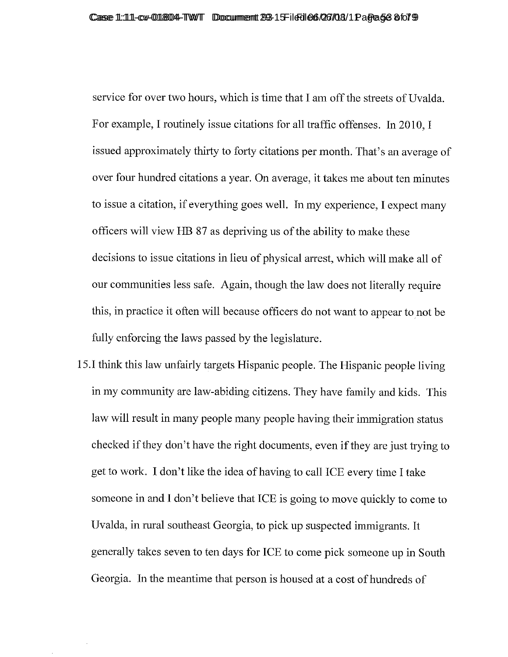service for over two hours, which is time that I am off the streets of Uvalda. For example, I routinely issue citations for all traffic offenses. In 2010, I issued approximately thirty to forty citations per month. That's an average of over four hundred citations a year. On average, it takes me about ten minutes to issue a citation, if everything goes well. In my experience, I expect many officers will view HB 87 as depriving us of the ability to make these decisions to issue citations in lieu of physical arrest, which will make all of our communities less safe. Again, though the law does not literally require this, in practice it often will because officers do not want to appear to not be fully enforcing the laws passed by the legislature.

15. I think this law unfairly targets Hispanic people. The Hispanic people living in my community are law-abiding citizens. They have family and kids. This law will result in many people many people having their immigration status checked if they don't have the right documents, even if they are just trying to get to work. I don't like the idea of having to call ICE every time I take someone in and I don't believe that ICE is going to move quickly to come to Uvalda, in rural southeast Georgia, to pick up suspected immigrants. It generally takes seven to ten days for ICE to come pick someone up in South Georgia. In the meantime that person is housed at a cost of hundreds of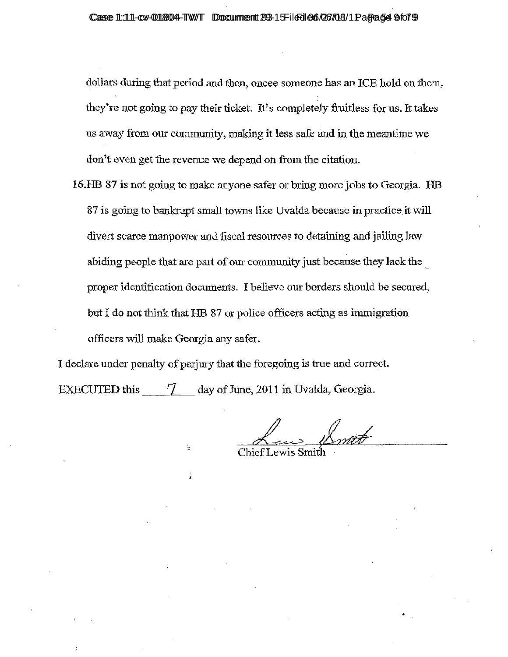dollars during that period and then, oncee someone has an ICE hold on them. they're not going to pay their ticket. It's completely fruitless for us. It takes us away from our community, making it less safe and in the meantime we don't even get the revenue we depend on from the citation.

16.HB 87 is not going to make anyone safer or bring more jobs to Georgia. HB 87 is going to banktupt small towns like Uvalda because in practice it will divert scarce manpower and fiscal resources to detaining and jailing law abiding people that are part of our community just because they lack the proper identification documents. I believe our borders should be secured, but I do not think that HB 87 or police officers acting as immigration officers will make Georgia any safer.

I declare under penalty of perjury that the foregoing is true and correct. day of June, 2011 in Uvalda, Georgia. **EXECUTED this** 7.

Chief Lewis Smith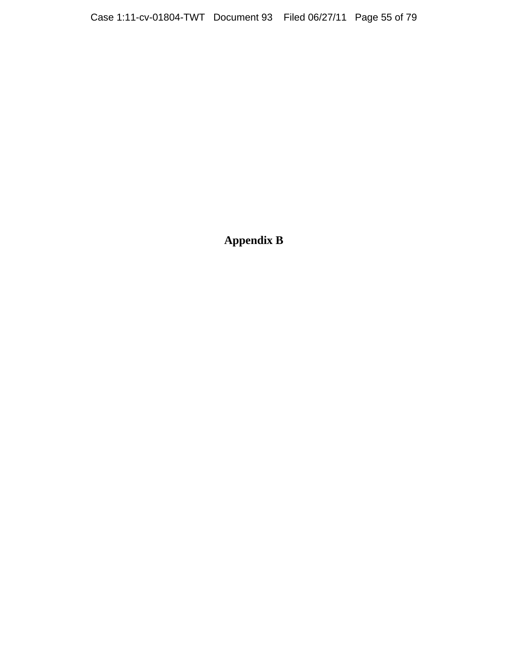**Appendix B**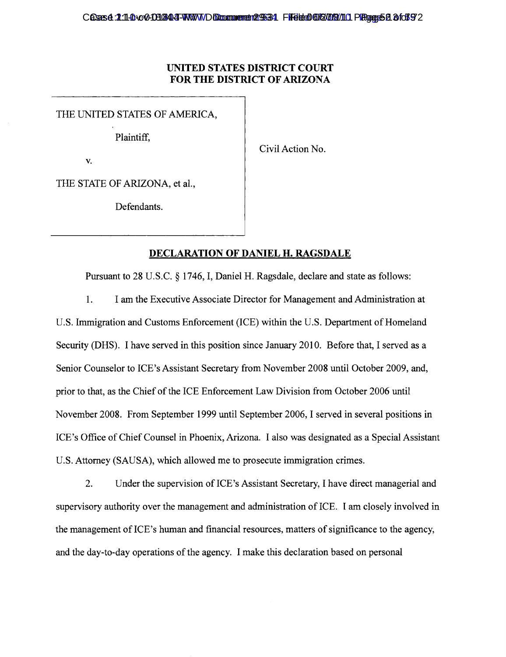### **UNITED STATES DISTRICT COURT FOR THE DISTRICT OF ARIZONA**

THE UNITED STATES OF AMERICA,

Plaintiff,

Civil Action No.

v.

THE STATE OF ARIZONA, et al.,

Defendants.

### **DECLARATION OF DANIEL H. RAGSDALE**

Pursuant to 28 U.S.C. § 1746, I, Daniel H. Ragsdale, declare and state as follows:

1. I am the Executive Associate Director for Management and Administration at

U.S. Immigration and Customs Enforcement (ICE) within the U.S. Department of Homeland Security (DHS). I have served in this position since January 2010. Before that, I served as a Senior Counselor to ICE's Assistant Secretary from November 2008 until October 2009, and, prior to that, as the Chief of the ICE Enforcement Law Division from October 2006 until November 2008. From September 1999 until September 2006, I served in several positions in ICE's Office of Chief Counsel in Phoenix, Arizona. I also was designated as a Special Assistant U.S. Attorney (SAUSA), which allowed me to prosecute immigration crimes.

2. Under the supervision of ICE's Assistant Secretary, I have direct managerial and supervisory authority over the management and administration of ICE. I am closely involved in the management of ICE's human and financial resources, matters of significance to the agency, and the day-to-day operations of the agency. I make this declaration based on personal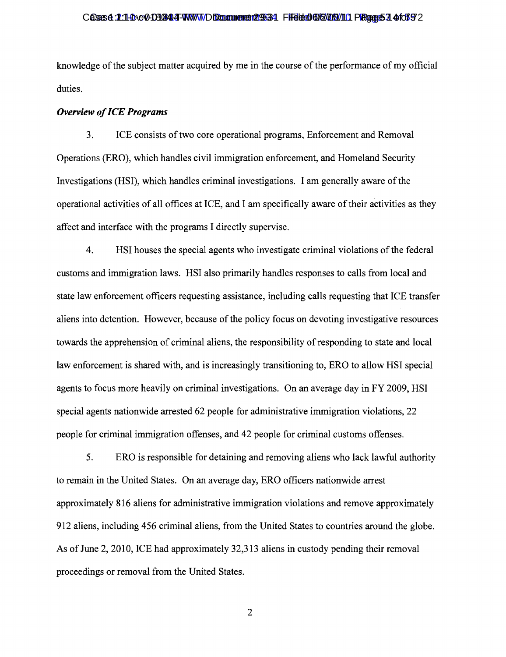#### Cases 1:11-cvc 00304-TWWW Document 2934 Filed 06/2/08/11 Preser 57 467 92

knowledge of the subject matter acquired by me in the course of the performance of my official duties.

#### *Overview ofICE Programs*

3. ICE consists of two core operational programs, Enforcement and Removal Operations (ERO), which handles civil immigration enforcement, and Homeland Security Investigations (HSI), which handles criminal investigations. I am generally aware of the operational activities of all offices at ICE, and I am specifically aware oftheir activities as they affect and interface with the programs I directly supervise.

4. HSI houses the special agents who investigate criminal violations of the federal customs and immigration laws. HSI also primarily handles responses to calls from local and state law enforcement officers requesting assistance, including calls requesting that ICE transfer aliens into detention. However, because of the policy focus on devoting investigative resources towards the apprehension of criminal aliens, the responsibility of responding to state and local law enforcement is shared with, and is increasingly transitioning to, ERO to allow HSI special agents to focus more heavily on criminal investigations. On an average day in FY 2009, HSI special agents nationwide arrested 62 people for administrative immigration violations, 22 people for criminal immigration offenses, and 42 people for criminal customs offenses.

5. ERO is responsible for detaining and removing aliens who lack lawful authority to remain in the United States. On an average day, ERO officers nationwide arrest approximately 816 aliens for administrative immigration violations and remove approximately 912 aliens, including 456 criminal aliens, from the United States to countries around the globe. As of June 2, 2010, ICE had approximately 32,313 aliens in custody pending their removal proceedings or removal from the United States.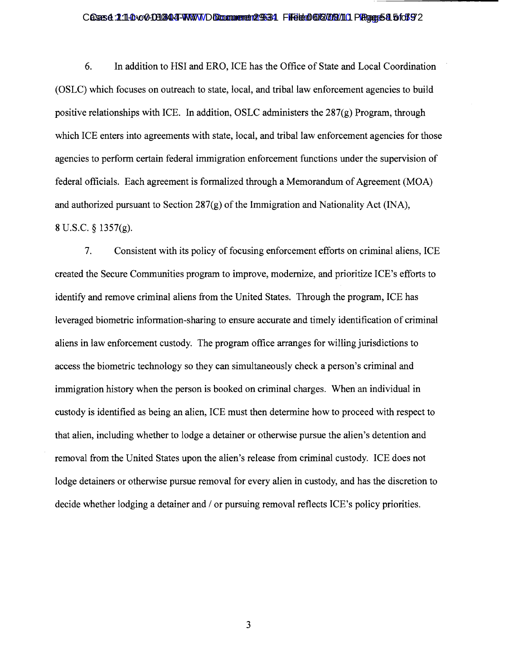#### Cases 1:11-cvc 01344-TWW Document 2934 Filed 06/2/08/11 Page 58 5for 92:10-cv-014

6. In addition to HSI and ERO, ICE has the Office of State and Local Coordination (OSLC) which focuses on outreach to state, local, and tribal law enforcement agencies to build positive relationships with ICE. In addition, OSLC administers the 287(g) Program, through which ICE enters into agreements with state, local, and tribal law enforcement agencies for those agencies to perform certain federal immigration enforcement functions under the supervision of federal officials. Each agreement is formalized through a Memorandum of Agreement (MOA) and authorized pursuant to Section  $287(g)$  of the Immigration and Nationality Act (INA), 8 U.S.C. § 1357(g).

7. Consistent with its policy of focusing enforcement efforts on criminal aliens, ICE created the Secure Communities program to improve, modernize, and prioritize ICE's efforts to identify and remove criminal aliens from the United States. Through the program, ICE has leveraged biometric information-sharing to ensure accurate and timely identification of criminal aliens in law enforcement custody. The program office arranges for willing jurisdictions to access the biometric technology so they can simultaneously check a person's criminal and immigration history when the person is booked on criminal charges. When an individual in custody is identified as being an alien, ICE must then determine how to proceed with respect to that alien, induding whether to lodge a detainer or otherwise pursue the alien's detention and removal from the United States upon the alien's release from criminal custody. ICE does not lodge detainers or otherwise pursue removal for every alien in custody, and has the discretion to decide whether lodging a detainer and / or pursuing removal reflects ICE's policy priorities.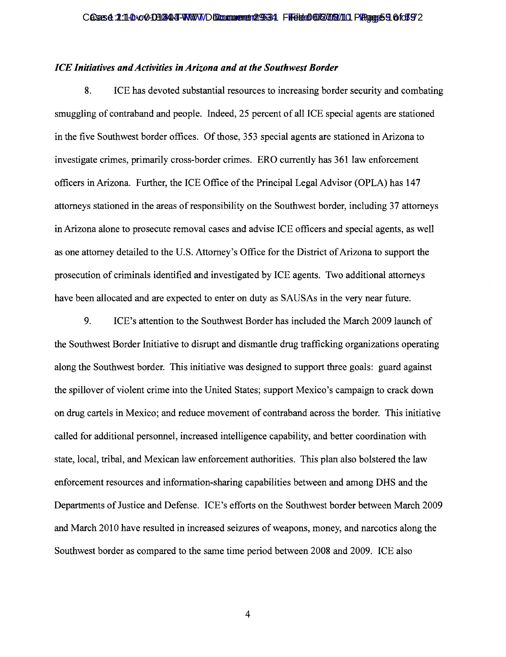#### *ICE Initiatives and Activities in Arizona and at the Southwest Border*

8. ICE has devoted substantial resources to increasing border security and combating smuggling of contraband and people. Indeed, 25 percent of all ICE special agents are stationed in the five Southwest border offices. Of those, 353 special agents are stationed in Arizona to investigate crimes, primarily cross-border crimes. ERO currently has 361 law enforcement officers in Arizona. Further, the ICE Office of the Principal Legal Advisor (OPLA) has 147 attorneys stationed in the areas of responsibility on the Southwest border, including 37 attorneys in Arizona alone to prosecute removal cases and advise ICE officers and special agents, as well as one attorney detailed to the U.S. Attorney's Office for the District ofArizona to support the prosecution of criminals identified and investigated by ICE agents. Two additional attorneys have been allocated and are expected to enter on duty as SAUSAs in the very near future.

9. ICE's attention to the Southwest Border has included the March 2009 launch of the Southwest Border Initiative to disrupt and dismantle drug trafficking organizations operating along the Southwest border. This initiative was designed to support three goals: guard against the spillover of violent crime into the United States; support Mexico's campaign to crack down on drug cartels in Mexico; and reduce movement of contraband across the border. This initiative called for additional personnel, increased intelligence capability, and better coordination with state, local, tribal, and Mexican law enforcement authorities. This plan also bolstered the law enforcement resources and information-sharing capabilities between and among DHS and the Departments of Justice and Defense. ICE's efforts on the Southwest border between March 2009 and March 2010 have resulted in increased seizures of weapons, money, and narcotics along the Southwest border as compared to the same time period between 2008 and 2009. ICE also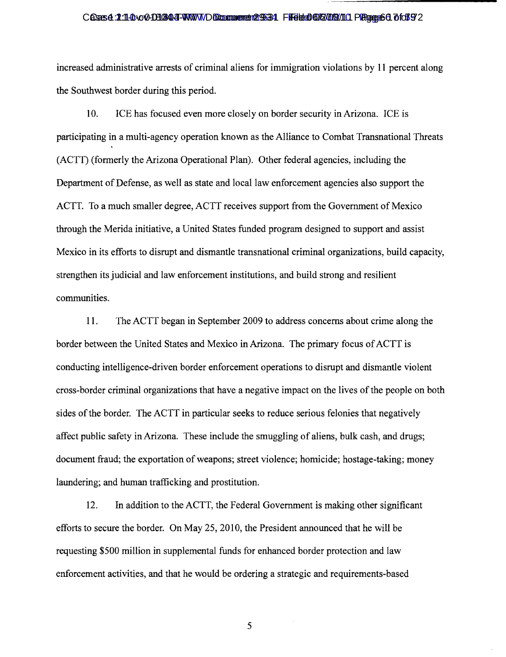#### Cases 1:11-cv-c·01344-TWWW Document 2934 File document 084 Filed 06/2004

increased administrative arrests of criminal aliens for immigration violations by **11** percent along the Southwest border during this period.

10. ICE has focused even more closely on border security in Arizona. ICE is participating in a multi-agency operation known as the Alliance to Combat Transnational Threats (ACTT) (formerly the Arizona Operational Plan). Other federal agencies, including the Department of Defense, as well as state and local law enforcement agencies also support the ACTT. To a much smaller degree, ACTT receives support from the Government of Mexico through the Merida initiative, a United States funded program designed to support and assist Mexico in its efforts to disrupt and dismantle transnational criminal organizations, build capacity, strengthen its judicial and law enforcement institutions, and build strong and resilient communities.

11. The ACTT began in September 2009 to address concerns about crime along the border between the United States and Mexico in Arizona. The primary focus of ACTT is conducting intelligence-driven border enforcement operations to disrupt and dismantle violent cross-border criminal organizations that have a negative impact on the lives of the people on both sides of the border. The ACTT in particular seeks to reduce serious felonies that negatively affect public safety in Arizona. These include the smuggling of aliens, bulk cash, and drugs; document fraud; the exportation of weapons; street violence; homicide; hostage-taking; money laundering; and human trafficking and prostitution.

12. In addition to the ACTT, the Federal Government is making other significant efforts to secure the border. On May 25, 2010, the President announced that he will be requesting \$500 million in supplemental funds for enhanced border protection and law enforcement activities, and that he would be ordering a strategic and requirements-based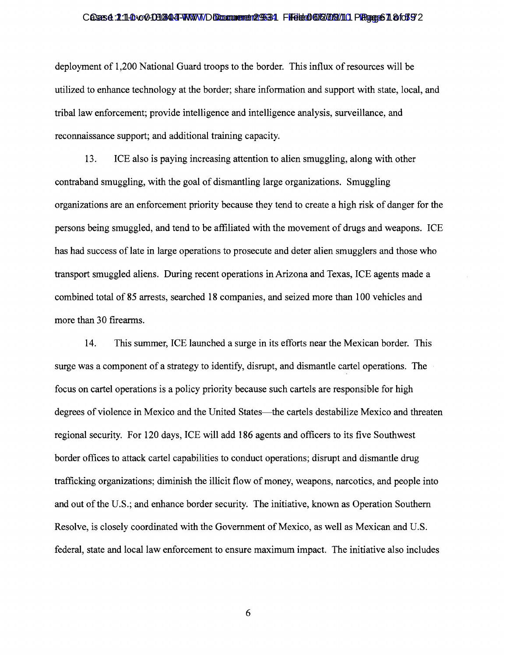#### Cases 1:11-cv-003044-WWW Document 2934 File document 084 Filed 06/2004 Case 61 of 72

deployment of 1,200 National Guard troops to the border. This influx of resources will be utilized to enhance technology at the border; share information and support with state, local, and tribal law enforcement; provide intelligence and intelligence analysis, surveillance, and reconnaissance support; and additional training capacity.

13. ICE also is paying increasing attention to alien smuggling, along with other contraband smuggling, with the goal of dismantling large organizations. Smuggling organizations are an enforcement priority because they tend to create a high risk of danger for the persons being smuggled, and tend to be affiliated with the movement of drugs and weapons. ICE has had success of late in large operations to prosecute and deter alien smugglers and those who transport smuggled aliens. During recent operations in Arizona and Texas, ICE agents made a combined total of 85 arrests, searched 18 companies, and seized more than 100 vehicles and more than 30 firearms.

14. This summer, ICE launched a surge in its efforts near the Mexican border. This surge was a component of a strategy to identify, disrupt, and dismantle cartel operations. The focus on cartel operations is a policy priority because such cartels are responsible for high degrees of violence in Mexico and the United States—the cartels destabilize Mexico and threaten regional security. For 120 days, ICE will add 186 agents and officers to its five Southwest border offices to attack cartel capabilities to conduct operations; disrupt and dismantle drug trafficking organizations; diminish the illicit flow of money, weapons, narcotics, and people into and out of the U.S.; and enhance border security. The initiative, known as Operation Southern Resolve, is closely coordinated with the Government of Mexico, as well as Mexican and U.S. federal, state and local law enforcement to ensure maximum impact. The initiative also includes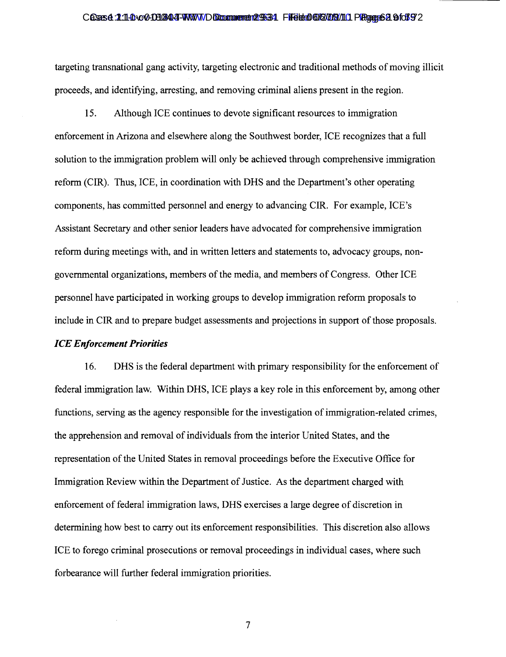#### Cases 1:11-cv-001344-TWWW Document 2934 File dolar 06/2013/11 Page 62 9:10-72

targeting transnational gang activity, targeting electronic and traditional methods of moving illicit proceeds, and identifying, arresting, and removing criminal aliens present in the region.

15. Although ICE continues to devote significant resources to immigration enforcement in Arizona and elsewhere along the Southwest border, ICE recognizes that a full solution to the immigration problem will only be achieved through comprehensive immigration reform (CIR). Thus, ICE, in coordination with DHS and the Department's other operating components, has committed personnel and energy to advancing CIR. For example, ICE's Assistant Secretary and other senior leaders have advocated for comprehensive immigration reform during meetings with, and in written letters and statements to, advocacy groups, nongovernmental organizations, members of the media, and members of Congress. Other ICE personnel have participated in working groups to develop immigration reform proposals to include in CIR and to prepare budget assessments and projections in support of those proposals. *ICE Enforcement Priorities* 

16. DHS is the federal department with primary responsibility for the enforcement of federal immigration law. Within DHS, ICE plays a key role in this enforcement by, among other functions, serving as the agency responsible for the investigation of immigration-related crimes, the apprehension and removal of individuals from the interior United States, and the representation of the United States in removal proceedings before the Executive Office for Immigration Review within the Department of Justice. As the department charged with enforcement of federal immigration laws, DHS exercises a large degree of discretion in determining how best to carry out its enforcement responsibilities. This discretion also allows ICE to forego criminal prosecutions or removal proceedings in individual cases, where such forbearance will further federal immigration priorities.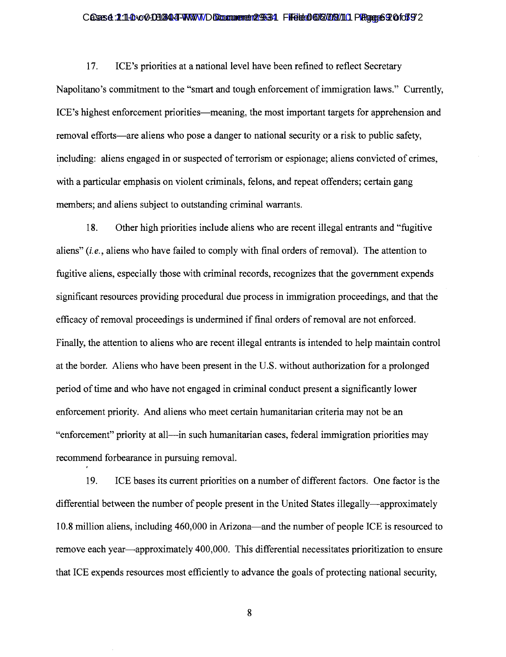#### Cases 1:11-cv-00304-TWWWDDocument 2934 File document 084 Filed 06/2004 Case 3:00:192

17. ICE's priorities at a national level have been refined to reflect Secretary Napolitano's commitment to the "smart and tough enforcement of immigration laws." Currently, ICE's highest enforcement priorities—meaning, the most important targets for apprehension and removal efforts—are aliens who pose a danger to national security or a risk to public safety, including: aliens engaged in or suspected of terrorism or espionage; aliens convicted of crimes, with a particular emphasis on violent criminals, felons, and repeat offenders; certain gang members; and aliens subject to outstanding criminal warrants.

18. Other high priorities include aliens who are recent illegal entrants and "fugitive aliens" *(i.e., aliens who have failed to comply with final orders of removal)*. The attention to fugitive aliens, especially those with criminal records, recognizes that the government expends significant resources providing procedural due process in immigration proceedings, and that the efficacy of removal proceedings is undermined if final orders of removal are not enforced. Finally, the attention to aliens who are recent illegal entrants is intended to help maintain control at the border. Aliens who have been present in the U.S. without authorization for a prolonged period oftime and who have not engaged in criminal conduct present a significantly lower enforcement priority. And aliens who meet certain humanitarian criteria may not be an "enforcement" priority at all—in such humanitarian cases, federal immigration priorities may recommend forbearance in pursuing removal.

19. ICE bases its current priorities on a number of different factors. One factor is the differential between the number of people present in the United States illegally—approximately 10.8 million aliens, including 460,000 in Arizona—and the number of people ICE is resourced to remove each year—approximately 400,000. This differential necessitates prioritization to ensure that ICE expends resources most efficiently to advance the goals of protecting national security,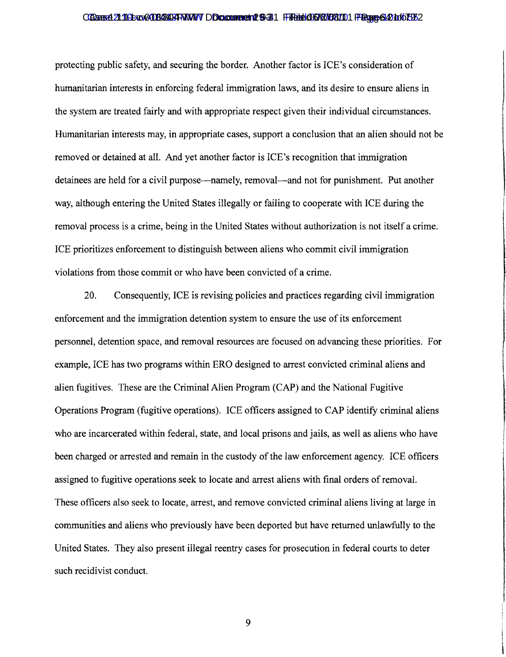#### Cases 21:11 Cac COUS CADE TWW DO comment 8-31 Filed 06/27/08/101 Page 64 to 575 2

protecting public safety, and securing the border. Another factor is ICE's consideration of humanitarian interests in enforcing federal immigration laws, and its desire to ensure aliens in the system are treated fairly and with appropriate respect given their individual circumstances. Humanitarian interests may, in appropriate cases, support a conclusion that an alien should not be removed or detained at all. And yet another factor is ICE's recognition that immigration detainees are held for a civil purpose—namely, removal—and not for punishment. Put another way, although entering the United States illegally or failing to cooperate with ICE during the removal process is a crime, being in the United States without authorization is not itself a crime. ICE prioritizes enforcement to distinguish between aliens who commit civil immigration violations from those commit or who have been convicted of a crime. I

,

r

**International Contract** 

**INVESTIGATION** 

i

20. Consequently, ICE is revising policies and practices regarding civil immigration enforcement and the immigration detention system to ensure the use of its enforcement personnel, detention space, and removal resources are focused on advancing these priorities. For J example, ICE has two programs within ERO designed to arrest convicted criminal aliens and l alien fugitives. These are the Criminal Alien Program (CAP) and the National Fugitive Operations Program (fugitive operations). ICE officers assigned to CAP identify criminal aliens who are incarcerated within federal, state, and local prisons and jails, as well as aliens who have been charged or arrested and remain in the custody of the law enforcement agency. ICE officers assigned to fugitive operations seek to locate and arrest aliens with final orders of removal. These officers also seek to locate, arrest, and remove convicted criminal aliens living at large in communities and aliens who previously have been deported but have returned unlawfully to the United States. They also present illegal reentry cases for prosecution in federal courts to deter such recidivist conduct.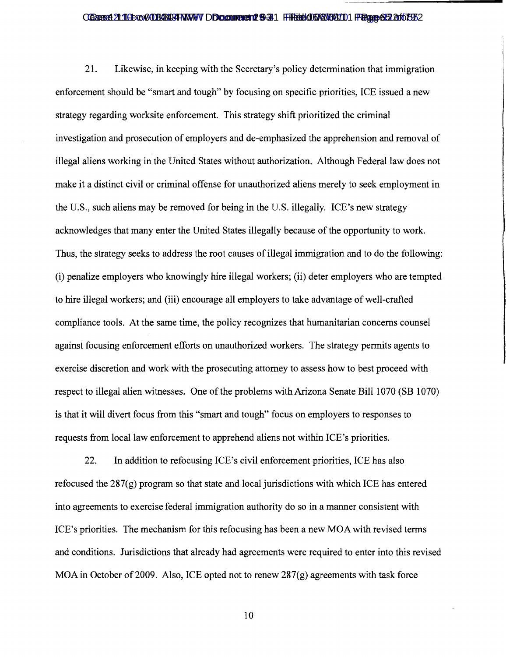#### Cases 21:11 Cox 2008 B403 FWW DD cument 12 9-31 Filed 06/27/08/10 Page 65 20 ft 73 2

21. Likewise, in keeping with the Secretary's policy determination that immigration enforcement should be "smart and tough" by focusing on specific priorities, ICE issued a new strategy regarding worksite enforcement. This strategy shift prioritized the criminal investigation and prosecution of employers and de-emphasized the apprehension and removal of illegal aliens working in the United States without authorization. Although Federal law does not make it a distinct civil or criminal offense for unauthorized aliens merely to seek employment in the U.S., such aliens may be removed for being in the U.S. illegally. ICE's new strategy acknowledges that many enter the United States illegally because of the opportunity to work. Thus, the strategy seeks to address the root causes of illegal immigration and to do the following: (i) penalize employers who knowingly hire illegal workers; (ii) deter employers who are tempted to hire illegal workers; and (iii) encourage all employers to take advantage of well-crafted compliance tools. At the same time, the policy recognizes that humanitarian concerns counsel against focusing enforcement efforts on unauthorized workers. The strategy permits agents to exercise discretion and work with the prosecuting attorney to assess how to best proceed with respect to illegal alien witnesses. One of the problems with Arizona Senate Bill 1070 (SB 1070) is that it will divert focus from this "smart and tough" focus on employers to responses to requests from local law enforcement to apprehend aliens not within ICE's priorities.

22. In addition to refocusing ICE's civil enforcement priorities, ICE has also refocused the 287(g) program so that state and local jurisdictions with which ICE has entered into agreements to exercise federal immigration authority do so in a manner consistent with ICE's priorities. The mechanism for this refocusing has been a new MOA with revised terms and conditions. Jurisdictions that already had agreements were required to enter into this revised MOA in October of 2009. Also, ICE opted not to renew  $287(g)$  agreements with task force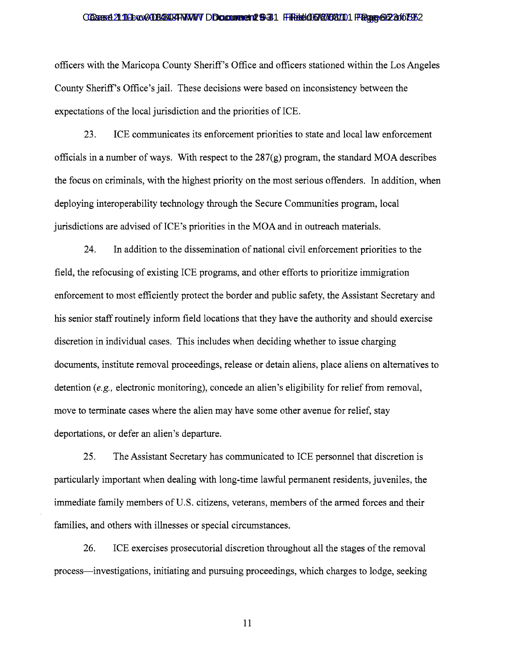#### Cases 21:11 Cox 2008 BANT TWW Document 12 9-31 Filed 06/27/08/10 Page 662 of 673 /

officers with the Maricopa County Sheriff's Office and officers stationed within the Los Angeles County Sheriff's Office's jail. These decisions were based on inconsistency between the expectations of the local jurisdiction and the priorities of ICE.

23. ICE communicates its enforcement priorities to state and local law enforcement officials in a number of ways. With respect to the  $287(g)$  program, the standard MOA describes the focus on criminals, with the highest priority on the most serious offenders. In addition, when deploying interoperability technology through the Secure Communities program, local jurisdictions are advised of ICE's priorities in the MOA and in outreach materials.

24. In addition to the dissemination of national civil enforcement priorities to the field, the refocusing of existing ICE programs, and other efforts to prioritize immigration enforcement to most efficiently protect the border and public safety, the Assistant Secretary and his senior staffroutinely inform field locations that they have the authority and should exercise discretion in individual cases. This includes when deciding whether to issue charging documents, institute removal proceedings, release or detain aliens, place aliens on alternatives to detention *(e.g.,* electronic monitoring), concede an alien's eligibility for relief from removal, move to terminate cases where the alien may have some other avenue for relief, stay deportations, or defer an alien's departure.

25. The Assistant Secretary has communicated to ICE personnel that discretion is particularly important when dealing with long-time lawful permanent residents, juveniles, the immediate family members of U.S. citizens, veterans, members of the armed forces and their families, and others with illnesses or special circumstances.

26. ICE exercises prosecutorial discretion throughout all the stages of the removal process—investigations, initiating and pursuing proceedings, which charges to lodge, seeking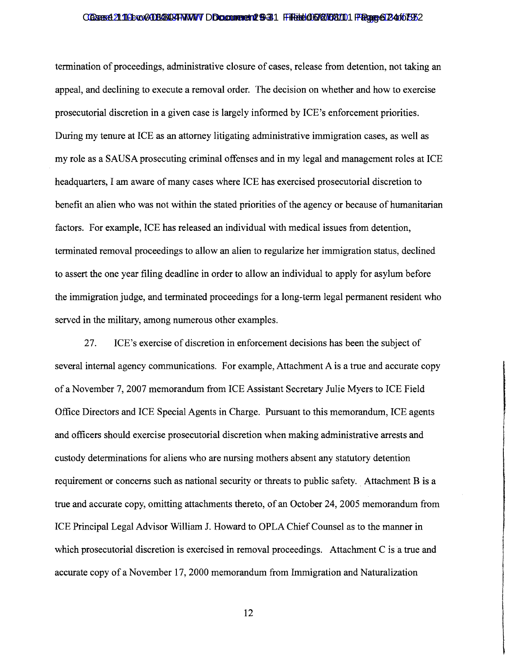#### Cases 21:11 Cro30303403 TWW DD comment 8-31 Filed 06/27/08/101 Page 672 4:10 F32

tennination of proceedings, administrative closure of cases, release from detention, not taking an appeal, and declining to execute a removal order. The decision on whether and how to exercise prosecutorial discretion in a given case is largely infonned by ICE's enforcement priorities. During my tenure at ICE as an attorney litigating administrative immigration cases, as well as my role as a SAUSA prosecuting criminal offenses and in my legal and management roles at ICE headquarters, I am aware of many cases where ICE has exercised prosecutorial discretion to benefit an alien who was not within the stated priorities of the agency or because of humanitarian factors. For example, ICE has released an individual with medical issues from detention, tenninated removal proceedings to allow an alien to regularize her immigration status, declined to assert the one year filing deadline in order to allow an individual to apply for asylum before the immigration judge, and terminated proceedings for a long-term legal permanent resident who served in the military, among numerous other examples.

27. ICE's exercise of discretion in enforcement decisions has been the subject of several internal agency communications. For example, Attachment A is a true and accurate copy of a November 7, 2007 memorandum from ICE Assistant Secretary Julie Myers to ICE Field I Office Directors and ICE Special Agents in Charge. Pursuant to this memorandum, ICE agents and officers should exercise prosecutorial discretion when making administrative arrests and custody determinations for aliens who are nursing mothers absent any statutory detention requirement or concerns such as national security or threats to public safety. Attachment B is a true and accurate copy, omitting attachments thereto, of an October 24, 2005 memorandum from ICE Principal Legal Advisor William J. Howard to OPLA Chief Counsel as to the manner in which prosecutorial discretion is exercised in removal proceedings. Attachment C is a true and accurate copy of a November 17,2000 memorandum from Immigration and Naturalization

**International Property** 

,

,

,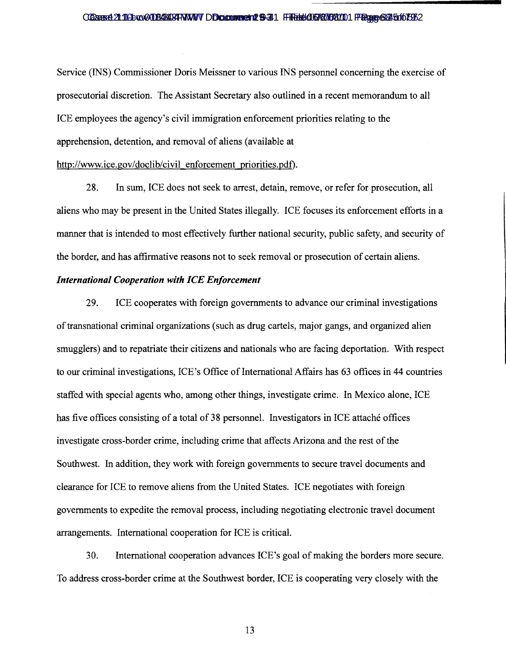#### Cases 21:11 Cac CO8034 TWW DDcument 6-31 Filed 06/07/08/10 Page 68 of 73 2:

Service (INS) Commissioner Doris Meissner to various INS personnel concerning the exercise of prosecutorial discretion. The Assistant Secretary also outlined in a recent memorandum to all ICE employees the agency's civil immigration enforcement priorities relating to the apprehension, detention, and removal of aliens (available at http://www.ice.gov/doclib/civil enforcement priorities.pdf).

28. In sum, ICE does not seek to arrest, detain, remove, or refer for prosecution, all aliens who may be present in the United States illegally. ICE focuses its enforcement efforts in a manner that is intended to most effectively further national security, public safety, and security of the border, and has affirmative reasons not to seek removal or prosecution of certain aliens.

### *International Cooperation with ICE Enforcement*

29. ICE cooperates with foreign governments to advance our criminal investigations of transnational criminal organizations (such as drug cartels, major gangs, and organized alien smugglers) and to repatriate their citizens and nationals who are facing deportation. With respect to our criminal investigations, ICE's Office of International Affairs has 63 offices in 44 countries staffed with special agents who, among other things, investigate crime. In Mexico alone, ICE has five offices consisting of a total of 38 personnel. Investigators in ICE attache offices investigate cross-border crime, including crime that affects Arizona and the rest of the Southwest. In addition, they work with foreign governments to secure travel documents and clearance for ICE to remove aliens from the United States. ICE negotiates with foreign governments to expedite the removal process, including negotiating electronic travel document arrangements. International cooperation for ICE is critical.

30. International cooperation advances ICE's goal of making the borders more secure. To address cross-border crime at the Southwest border, ICE is cooperating very closely with the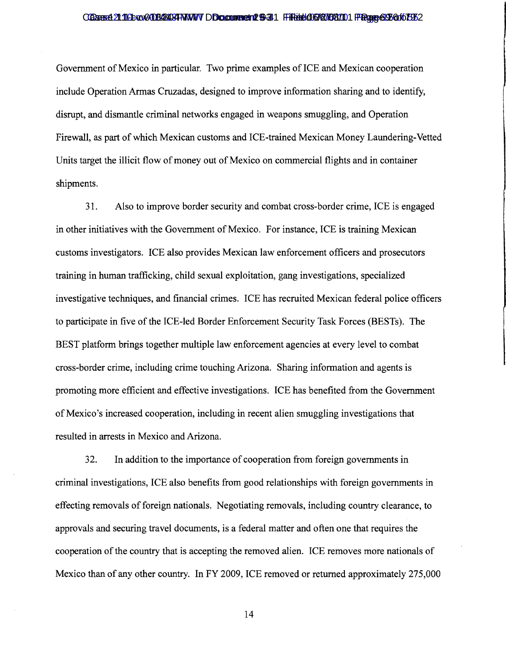#### Cases 21:11 Cox 2008 B403 FWW DD comment 8-31 Filed 06/27/08/10 Page 69 60 ft 75 2

Government of Mexico in particular. Two prime examples of ICE and Mexican cooperation include Operation Armas Cruzadas, designed to improve information sharing and to identify, disrupt, and dismantle criminal networks engaged in weapons smuggling, and Operation Firewall, as part of which Mexican customs and ICE-trained Mexican Money Laundering-Vetted Units target the illicit flow of money out of Mexico on commercial flights and in container shipments.

31. Also to improve border security and combat cross-border crime, ICE is engaged in other initiatives with the Government of Mexico. For instance, ICE is training Mexican customs investigators. ICE also provides Mexican law enforcement officers and prosecutors training in human trafficking, child sexual exploitation, gang investigations, specialized investigative techniques, and financial crimes. ICE has recruited Mexican federal police officers to participate in five of the ICE-led Border Enforcement Security Task Forces (BESTs). The BEST platform brings together multiple law enforcement agencies at every level to combat cross-border crime, including crime touching Arizona. Sharing information and agents is promoting more efficient and effective investigations. ICE has benefited from the Government of Mexico's increased cooperation, including in recent alien smuggling investigations that resulted in arrests in Mexico and Arizona.

32. In addition to the importance of cooperation from foreign governments in criminal investigations, ICE also benefits from good relationships with foreign governments in effecting removals of foreign nationals. Negotiating removals, including country clearance, to approvals and securing travel documents, is a federal matter and often one that requires the cooperation of the country that is accepting the removed alien. ICE removes more nationals of Mexico than of any other country. In FY 2009, ICE removed or returned approximately 275,000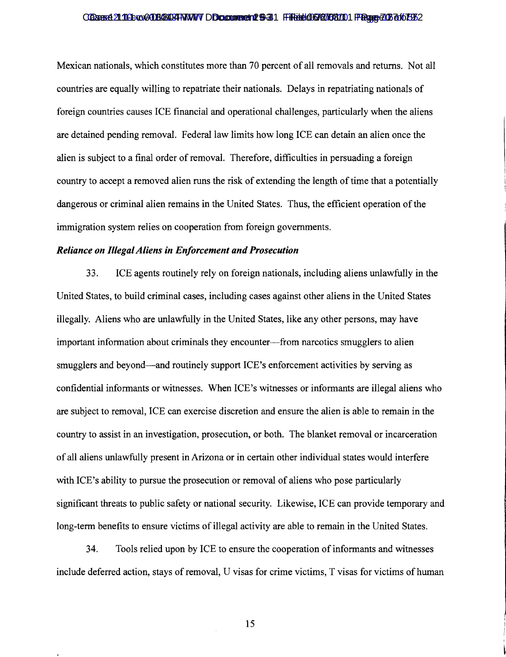#### Cases 21:112 co-018403 FWW Document 6-31 Filed 06/27/08/10 Page 706/07/27

Mexican nationals, which constitutes more than 70 percent of all removals and returns. Not all countries are equally willing to repatriate their nationals. Delays in repatriating nationals of foreign countries causes ICE financial and operational challenges, particularly when the aliens are detained pending removal. Federal law limits how long ICE can detain an alien once the alien is subject to a final order of removal. Therefore, difficulties in persuading a foreign country to accept a removed alien runs the risk of extending the length of time that a potentially dangerous or criminal alien remains in the United States. Thus, the efficient operation of the immigration system relies on cooperation from foreign governments.

### *Reliance on Illegal Aliens in Enforcement and Prosecution*

33. ICE agents routinely rely on foreign nationals, including aliens unlawfully in the United States, to build criminal cases, including cases against other aliens in the United States illegally. Aliens who are unlawfully in the United States, like any other persons, may have important information about criminals they encounter-from narcotics smugglers to alien smugglers and beyond—and routinely support ICE's enforcement activities by serving as confidential informants or witnesses. When ICE's witnesses or informants are illegal aliens who are subject to removal, ICE can exercise discretion and ensure the alien is able to remain in the country to assist in an investigation, prosecution, or both. The blanket removal or incarceration of all aliens unlawfully present in Arizona or in certain other individual states would interfere with ICE's ability to pursue the prosecution or removal of aliens who pose particularly significant threats to public safety or national security. Likewise, ICE can provide temporary and long-term benefits to ensure victims of illegal activity are able to remain in the United States.

34. Tools relied upon by ICE to ensure the cooperation of informants and witnesses include deferred action, stays of removal, U visas for crime victims, T visas for victims of human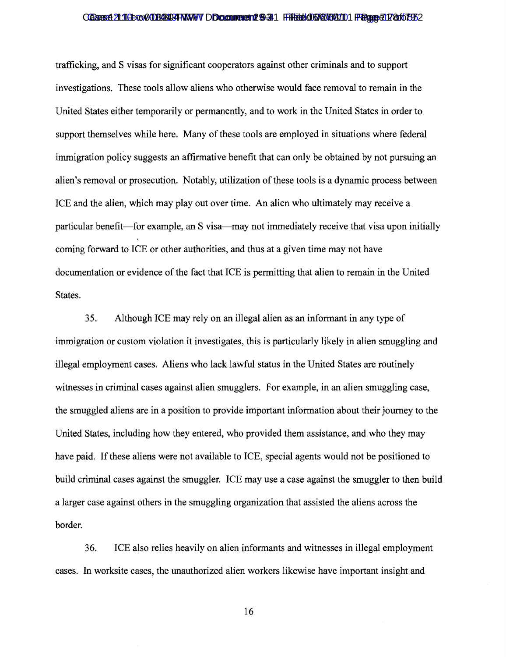#### Cases 21:11 Cox 2008 B403 FWW DDcument 12 9-31 Filed 06/27/08/10 Page 71 2 of 575 2

trafficking, and S visas for significant cooperators against other criminals and to support investigations. These tools allow aliens who otherwise would face removal to remain in the United States either temporarily or permanently, and to work in the United States in order to support themselves while here. Many of these tools are employed in situations where federal immigration policy suggests an affirmative benefit that can only be obtained by not pursuing an alien's removal or prosecution. Notably, utilization of these tools is a dynamic process between ICE and the alien, which may play out over time. An alien who ultimately may receive a particular benefit-for example, an S visa-may not immediately receive that visa upon initially coming forward to ICE or other authorities, and thus at a given time may not have documentation or evidence of the fact that ICE is permitting that alien to remain in the United States.

35. Although ICE may rely on an illegal alien as an informant in any type of immigration or custom violation it investigates, this is particularly likely in alien smuggling and illegal employment cases. Aliens who lack lawful status in the United States are routinely witnesses in criminal cases against alien smugglers. For example, in an alien smuggling case, the smuggled aliens are in a position to provide important information about their journey to the United States, including how they entered, who provided them assistance, and who they may have paid. If these aliens were not available to ICE, special agents would not be positioned to build criminal cases against the smuggler. ICE may use a case against the smuggler to then build a larger case against others in the smuggling organization that assisted the aliens across the border.

36. ICE also relies heavily on alien informants and witnesses in illegal employment cases. In worksite cases, the unauthorized alien workers likewise have important insight and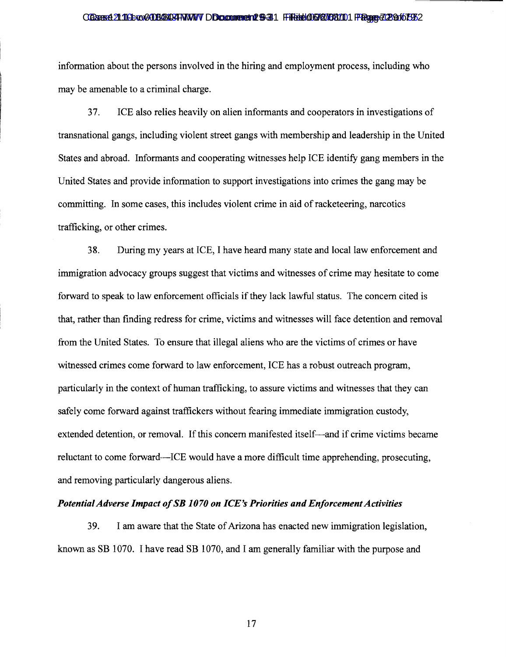#### CGare 21:113-xx 2008 B494 TWW DDcument 129-31 Filed 06/27/08/10 Page 72 0f 07/2

information about the persons involved in the hiring and employment process, including who may be amenable to a criminal charge.

37. ICE also relies heavily on alien informants and cooperators in investigations of transnational gangs, including violent street gangs with membership and leadership in the United States and abroad. Informants and cooperating witnesses help ICE identify gang members in the United States and provide information to support investigations into crimes the gang may be committing. In some cases, this includes violent crime in aid of racketeering, narcotics trafficking, or other crimes.

38. During my years at ICE, I have heard many state and local law enforcement and immigration advocacy groups suggest that victims and witnesses of crime may hesitate to come forward to speak to law enforcement officials if they lack lawful status. The concern cited is that, rather than finding redress for crime, victims and witnesses will face detention and removal from the United States. To ensure that illegal aliens who are the victims of crimes or have witnessed crimes come forward to law enforcement, ICE has a robust outreach program, particularly in the context of human trafficking, to assure victims and witnesses that they can safely come forward against traffickers without fearing immediate immigration custody, extended detention, or removal. If this concern manifested itself-and if crime victims became reluctant to come forward-ICE would have a more difficult time apprehending, prosecuting, and removing particularly dangerous aliens.

### **Potential Adverse Impact of SB 1070 on ICE's Priorities and Enforcement Activities**

39. I am aware that the State of Arizona has enacted new immigration legislation, known as SB 1070. I have read SB 1070, and I am generally familiar with the purpose and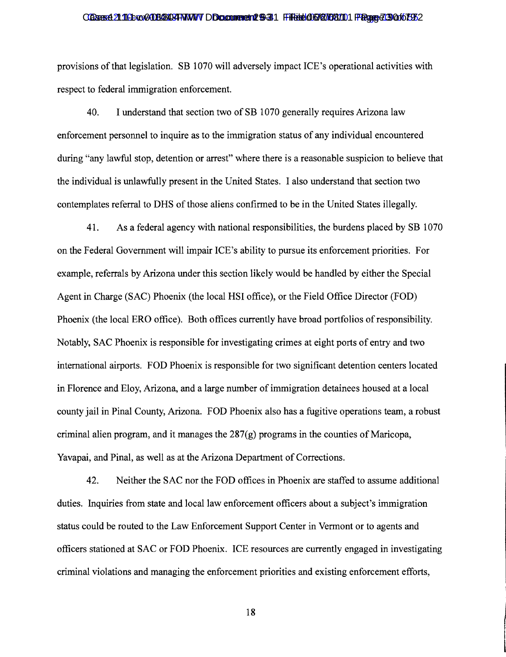### Cases 21:11 Cox 2008 B403 FWW DD cument 12 9-31 Filed 06/07/08/10 Page 7:30 for 53 Case 19 Tage 19 Of 6 Tag

provisions of that legislation. SB 1070 will adversely impact ICE's operational activities with respect to federal immigration enforcement.

40. I understand that section two of SB 1070 generally requires Arizona law enforcement personnel to inquire as to the immigration status of any individual encountered during "any lawful stop, detention or arrest" where there is a reasonable suspicion to believe that the individual is unlawfully present in the United States. I also understand that section two contemplates referral to DHS of those aliens confirmed to be in the United States illegally.

41. As a federal agency with national responsibilities, the burdens placed by SB 1070 on the Federal Government will impair ICE's ability to pursue its enforcement priorities. For example, referrals by Arizona under this section likely would be handled by either the Special Agent in Charge (SAC) Phoenix (the local HSI office), or the Field Office Director (FOD) Phoenix (the local ERO office). Both offices currently have broad portfolios of responsibility. Notably, SAC Phoenix is responsible for investigating crimes at eight ports of entry and two international airports. FOD Phoenix is responsible for two significant detention centers located in Florence and Eloy, Arizona, and a large number of immigration detainees housed at a local county jail in Pinal County, Arizona. FOD Phoenix also has a fugitive operations team, a robust criminal alien program, and it manages the  $287(g)$  programs in the counties of Maricopa, Yavapai, and Pinal, as well as at the Arizona Department of Corrections.

42. Neither the SAC nor the FOD offices in Phoenix are staffed to assume additional duties. Inquiries from state and local law enforcement officers about a subject's immigration status could be routed to the Law Enforcement Support Center in Vermont or to agents and officers stationed at SAC or FOD Phoenix. ICE resources are currently engaged in investigating criminal violations and managing the enforcement priorities and existing enforcement efforts,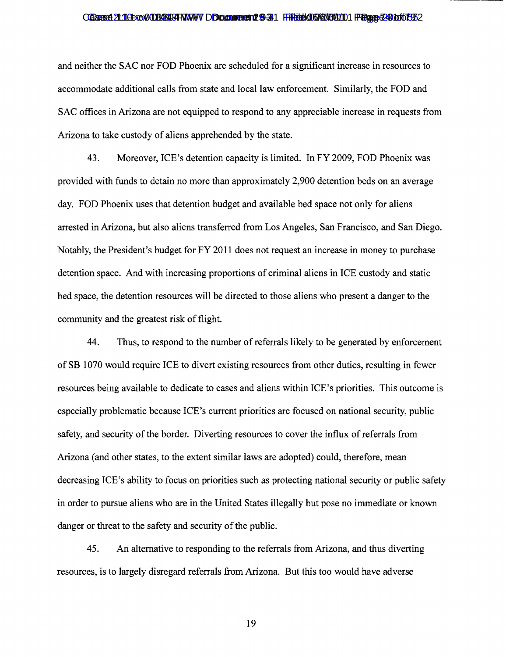# CGare 21:113-xx 2008 B494 TWW DDcument 129-31 Filed 06/27/08/10 Page 24 to 679 2

and neither the SAC nor FOD Phoenix are scheduled for a significant increase in resources to accommodate additional calls from state and local law enforcement. Similarly, the FOD and SAC offices in Arizona are not equipped to respond to any appreciable increase in requests from Arizona to take custody of aliens apprehended by the state.

43. Moreover, ICE's detention capacity is limited. **In** FY 2009, FOD Phoenix was provided with funds to detain no more than approximately 2,900 detention beds on an average day. FOD Phoenix uses that detention budget and available bed space not only for aliens arrested in Arizona, but also aliens transferred from Los Angeles, San Francisco, and San Diego. Notably, the President's budget for FY 2011 does not request an increase in money to purchase detention space. And with increasing proportions of criminal aliens in ICE custody and static bed space, the detention resources will be directed to those aliens who present a danger to the community and the greatest risk of flight.

44. Thus, to respond to the number of referrals likely to be generated by enforcement of SB 1070 would require ICE to divert existing resources from other duties, resulting in fewer resources being available to dedicate to cases and aliens within ICE's priorities. This outcome is especially problematic because ICE's current priorities are focused on national security, public safety, and security of the border. Diverting resources to cover the influx of referrals from Arizona (and other states, to the extent similar laws are adopted) could, therefore, mean decreasing ICE's ability to focus on priorities such as protecting national security or public safety in order to pursue aliens who are in the United States illegally but pose no immediate or known danger or threat to the safety and security of the public.

45. An alternative to responding to the referrals from Arizona, and thus diverting resources, is to largely disregard referrals from Arizona. But this too would have adverse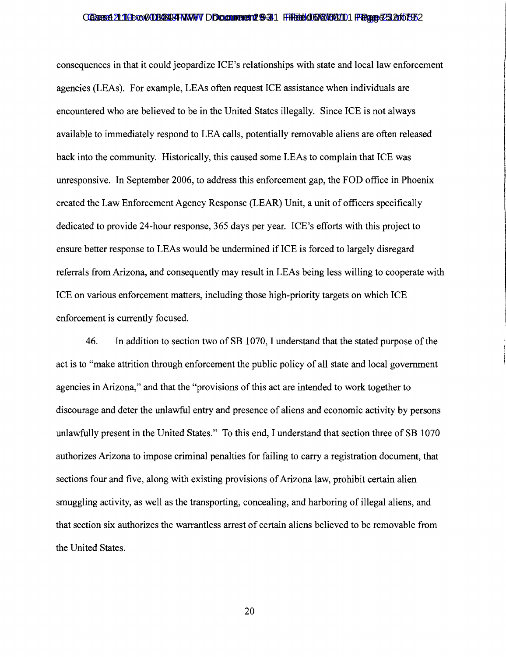#### Cases 21:11 Crec 0108404 FWW DDcument 129-31 Filed 06/07/08/10 Page 2:32 for 792

consequences in that it could jeopardize ICE's relationships with state and local law enforcement agencies (LEAs). For example, LEAs often request ICE assistance when individuals are encountered who are believed to be in the United States illegally. Since ICE is not always available to immediately respond to LEA calls, potentially removable aliens are often released back into the community. Historically, this caused some LEAs to complain that ICE was unresponsive. In September 2006, to address this enforcement gap, the FOD office in Phoenix created the Law Enforcement Agency Response (LEAR) Unit, a unit of officers specifically dedicated to provide 24-hour response, 365 days per year. ICE's efforts with this project to ensure better response to LEAs would be undermined if ICE is forced to largely disregard referrals from Arizona, and consequently may result in LEAs being less willing to cooperate with ICE on various enforcement matters, including those high-priority targets on which ICE enforcement is currently focused.

46. In addition to section two of SB 1070, I understand that the stated purpose of the act is to "make attrition through enforcement the public policy of all state and local government agencies in Arizona," and that the "provisions of this act are intended to work together to discourage and deter the unlawful entry and presence of aliens and economic activity by persons unlawfully present in the United States." To this end, I understand that section three of SB 1070 authorizes Arizona to impose criminal penalties for failing to carry a registration document, that sections four and five, along with existing provisions of Arizona law, prohibit certain alien smuggling activity, as well as the transporting, concealing, and harboring of illegal aliens, and that section six authorizes the warrantless arrest of certain aliens believed to be removable from the United States.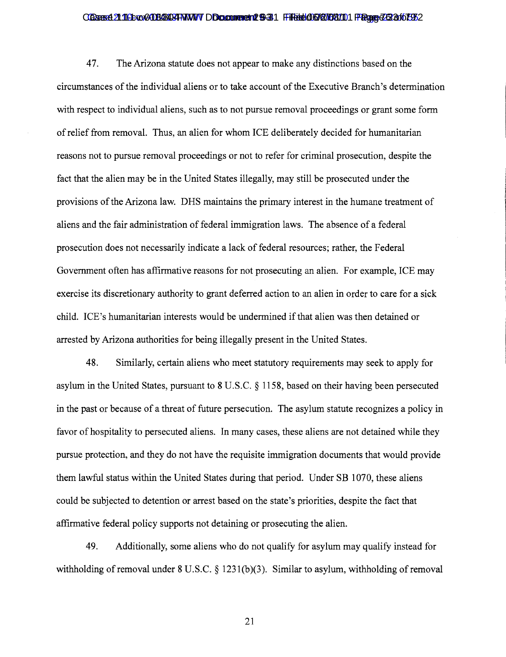### Cases 21:11 Cac COUS GABINATY DDcument 12 9-31 Filed 06/07/08/10 Page 23 of 53 C

47. The Arizona statute does not appear to make any distinctions based on the circumstances ofthe individual aliens or to take account ofthe Executive Branch's determination with respect to individual aliens, such as to not pursue removal proceedings or grant some form ofrelief from removal. Thus, an alien for whom ICE deliberately decided for humanitarian reasons not to pursue removal proceedings or not to refer for criminal prosecution, despite the fact that the alien may be in the United States illegally, may still be prosecuted under the provisions of the Arizona law. DHS maintains the primary interest in the humane treatment of aliens and the fair administration of federal immigration laws. The absence of a federal prosecution does not necessarily indicate a lack of federal resources; rather, the Federal Government often has affirmative reasons for not prosecuting an alien. For example, ICE may exercise its discretionary authority to grant deferred action to an alien in order to care for a sick child. ICE's humanitarian interests would be undermined if that alien was then detained or arrested by Arizona authorities for being illegally present in the United States.

48. Similarly, certain aliens who meet statutory requirements may seek to apply for asylum in the United States, pursuant to 8 U.S.C. § 1158, based on their having been persecuted in the past or because of a threat of future persecution. The asylum statute recognizes a policy in favor of hospitality to persecuted aliens. In many cases, these aliens are not detained while they pursue protection, and they do not have the requisite immigration documents that would provide them lawful status within the United States during that period. Under SB 1070, these aliens could be subjected to detention or arrest based on the state's priorities, despite the fact that affirmative federal policy supports not detaining or prosecuting the alien.

49. Additionally, some aliens who do not qualify for asylum may qualify instead for withholding of removal under  $8 \text{ U.S.C.} \$   $1231(b)(3)$ . Similar to asylum, withholding of removal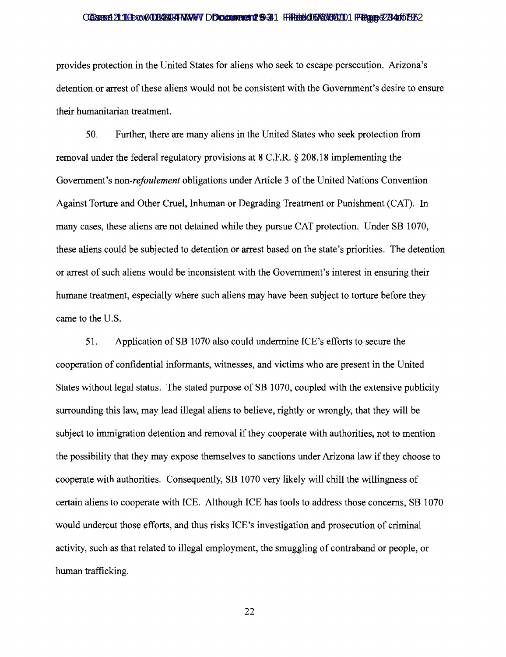# Cases 21:11 Cac COUS CARD THAN TO Document 12 9-31 Filed 06/07/08/10 Page 273 4:10 FS

provides protection in the United States for aliens who seek to escape persecution. Arizona's detention or arrest of these aliens would not be consistent with the Government's desire to ensure their humanitarian treatment.

50. Further, there are many aliens in the United States who seek protection from removal under the federal regulatory provisions at 8 C.F.R. § 208.18 implementing the Government's *non-refoulement* obligations under Article 3 of the United Nations Convention Against Torture and Other Cruel, Inhuman or Degrading Treatment or Punishment (CAT). In many cases, these aliens are not detained while they pursue CAT protection. Under SB 1070, these aliens could be subjected to detention or arrest based on the state's priorities. The detention or arrest of such aliens would be inconsistent with the Government's interest in ensuring their humane treatment, especially where such aliens may have been subject to torture before they came to the U.S.

51. Application of SB 1070 also could undermine ICE's efforts to secure the cooperation of confidential informants, witnesses, and victims who are present in the United States without legal status. The stated purpose of SB 1070, coupled with the extensive publicity surrounding this law, may lead illegal aliens to believe, rightly or wrongly, that they will be subject to immigration detention and removal if they cooperate with authorities, not to mention the possibility that they may expose themselves to sanctions under Arizona law ifthey choose to cooperate with authorities. Consequently, SB 1070 very likely will chill the willingness of certain aliens to cooperate with ICE. Although ICE has tools to address those concerns, SB 1070 would undercut those efforts, and thus risks ICE's investigation and prosecution of criminal activity, such as that related to illegal employment, the smuggling of contraband or people, or human trafficking.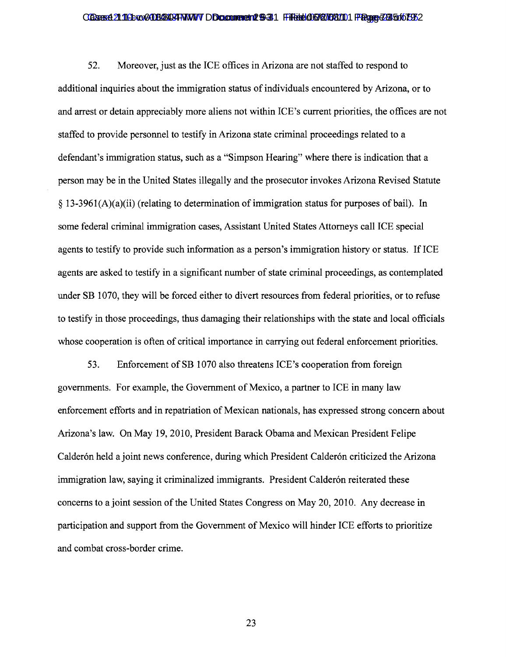### Cases 21:116exe008034934WWVDDocument 129-31 Filed 06/27/08/101 Page 235 6167932

52. Moreover, just as the ICE offices in Arizona are not staffed to respond to additional inquiries about the immigration status of individuals encountered by Arizona, or to and arrest or detain appreciably more aliens not within ICE's current priorities, the offices are not staffed to provide personnel to testify in Arizona state criminal proceedings related to a defendant's immigration status, such as a "Simpson Hearing" where there is indication that a person may be in the United States illegally and the prosecutor invokes Arizona Revised Statute  $\S$  13-3961(A)(a)(ii) (relating to determination of immigration status for purposes of bail). In some federal criminal immigration cases, Assistant United States Attorneys call ICE special agents to testify to provide such information as a person's immigration history or status. If ICE agents are asked to testify in a significant number of state criminal proceedings, as contemplated under SB 1070, they will be forced either to divert resources from federal priorities, or to refuse to testify in those proceedings, thus damaging their relationships with the state and local officials whose cooperation is often of critical importance in carrying out federal enforcement priorities.

53. Enforcement of SB 1070 also threatens ICE's cooperation from foreign governments. For example, the Government of Mexico, a partner to ICE in many law enforcement efforts and in repatriation of Mexican nationals, has expressed strong concern about Arizona's law. On May 19,2010, President Barack Obama and Mexican President Felipe Calderón held a joint news conference, during which President Calderón criticized the Arizona immigration law, saying it criminalized immigrants. President Calderón reiterated these concerns to a joint session of the United States Congress on May 20, 2010. Any decrease in participation and support from the Government of Mexico will hinder ICE efforts to prioritize and combat cross-border crime.